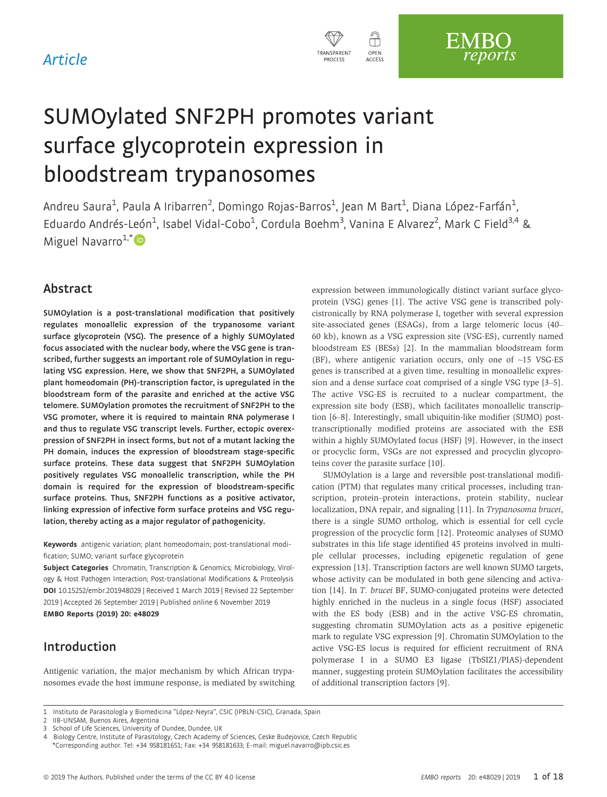

# SUMOylated SNF2PH promotes variant surface glycoprotein expression in bloodstream trypanosomes

Andreu Saura<sup>1</sup>, Paula A Iribarren<sup>2</sup>, Domingo Rojas-Barros<sup>1</sup>, Jean M Bart<sup>1</sup>, Diana López-Farfán<sup>1</sup> , Eduardo Andrés-León<sup>1</sup>, Isabel Vidal-Cobo<sup>1</sup>, Cordula Boehm<sup>3</sup>, Vanina E Alvarez<sup>2</sup>, Mark C Field<sup>3,4</sup> & Miguel Navarro $1,^*$  $1,^*$ 

# Abstract

SUMOylation is a post-translational modification that positively regulates monoallelic expression of the trypanosome variant surface glycoprotein (VSG). The presence of a highly SUMOylated focus associated with the nuclear body, where the VSG gene is transcribed, further suggests an important role of SUMOylation in regulating VSG expression. Here, we show that SNF2PH, a SUMOylated plant homeodomain (PH)-transcription factor, is upregulated in the bloodstream form of the parasite and enriched at the active VSG telomere. SUMOylation promotes the recruitment of SNF2PH to the VSG promoter, where it is required to maintain RNA polymerase I and thus to regulate VSG transcript levels. Further, ectopic overexpression of SNF2PH in insect forms, but not of a mutant lacking the PH domain, induces the expression of bloodstream stage-specific surface proteins. These data suggest that SNF2PH SUMOylation positively regulates VSG monoallelic transcription, while the PH domain is required for the expression of bloodstream-specific surface proteins. Thus, SNF2PH functions as a positive activator, linking expression of infective form surface proteins and VSG regulation, thereby acting as a major regulator of pathogenicity.

Keywords antigenic variation; plant homeodomain; post-translational modification; SUMO; variant surface glycoprotein

Subject Categories Chromatin, Transcription & Genomics; Microbiology, Virology & Host Pathogen Interaction; Post-translational Modifications & Proteolysis DOI 10.15252/embr.201948029 | Received 1 March 2019 | Revised 22 September 2019 | Accepted 26 September 2019 | Published online 6 November 2019 EMBO Reports (2019) 20: e48029

# Introduction

Antigenic variation, the major mechanism by which African trypanosomes evade the host immune response, is mediated by switching

expression between immunologically distinct variant surface glycoprotein (VSG) genes [1]. The active VSG gene is transcribed polycistronically by RNA polymerase I, together with several expression site-associated genes (ESAGs), from a large telomeric locus (40– 60 kb), known as a VSG expression site (VSG-ES), currently named bloodstream ES (BESs) [2]. In the mammalian bloodstream form (BF), where antigenic variation occurs, only one of  $~15$  VSG-ES genes is transcribed at a given time, resulting in monoallelic expression and a dense surface coat comprised of a single VSG type [3–5]. The active VSG-ES is recruited to a nuclear compartment, the expression site body (ESB), which facilitates monoallelic transcription [6–8]. Interestingly, small ubiquitin-like modifier (SUMO) posttranscriptionally modified proteins are associated with the ESB within a highly SUMOylated focus (HSF) [9]. However, in the insect or procyclic form, VSGs are not expressed and procyclin glycoproteins cover the parasite surface [10].

SUMOylation is a large and reversible post-translational modification (PTM) that regulates many critical processes, including transcription, protein–protein interactions, protein stability, nuclear localization, DNA repair, and signaling [11]. In Trypanosoma brucei, there is a single SUMO ortholog, which is essential for cell cycle progression of the procyclic form [12]. Proteomic analyses of SUMO substrates in this life stage identified 45 proteins involved in multiple cellular processes, including epigenetic regulation of gene expression [13]. Transcription factors are well known SUMO targets, whose activity can be modulated in both gene silencing and activation [14]. In T. brucei BF, SUMO-conjugated proteins were detected highly enriched in the nucleus in a single focus (HSF) associated with the ES body (ESB) and in the active VSG-ES chromatin, suggesting chromatin SUMOylation acts as a positive epigenetic mark to regulate VSG expression [9]. Chromatin SUMOylation to the active VSG-ES locus is required for efficient recruitment of RNA polymerase I in a SUMO E3 ligase (TbSIZ1/PIAS)-dependent manner, suggesting protein SUMOylation facilitates the accessibility of additional transcription factors [9].

<sup>1</sup> Instituto de Parasitología y Biomedicina "López-Neyra", CSIC (IPBLN-CSIC), Granada, Spain

<sup>2</sup> IIB-UNSAM, Buenos Aires, Argentina

<sup>3</sup> School of Life Sciences, University of Dundee, Dundee, UK

<sup>4</sup> Biology Centre, Institute of Parasitology, Czech Academy of Sciences, Ceske Budejovice, Czech Republic \*Corresponding author. Tel: +34 958181651; Fax: +34 958181633; E-mail: miguel.navarro@ipb.csic.es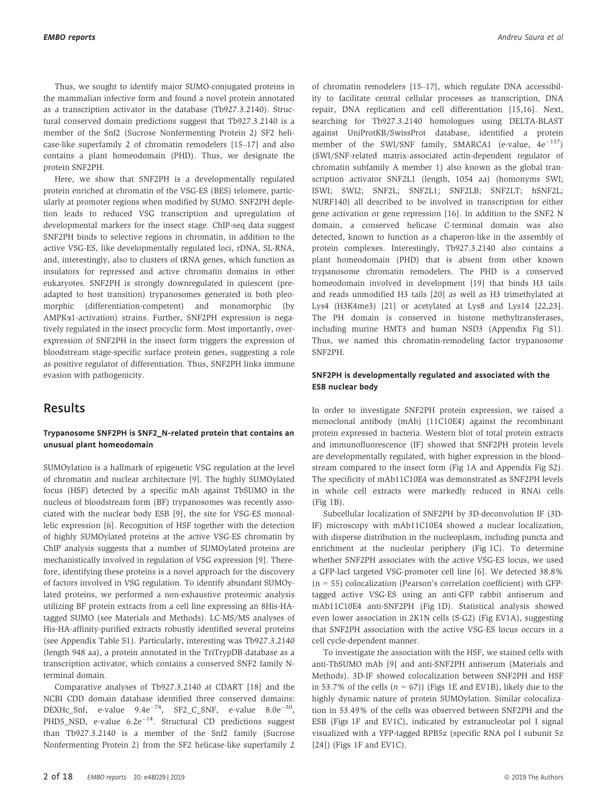Thus, we sought to identify major SUMO-conjugated proteins in the mammalian infective form and found a novel protein annotated as a transcription activator in the database (Tb927.3.2140). Structural conserved domain predictions suggest that Tb927.3.2140 is a member of the Snf2 (Sucrose Nonfermenting Protein 2) SF2 helicase-like superfamily 2 of chromatin remodelers [15–17] and also contains a plant homeodomain (PHD). Thus, we designate the protein SNF2PH.

Here, we show that SNF2PH is a developmentally regulated protein enriched at chromatin of the VSG-ES (BES) telomere, particularly at promoter regions when modified by SUMO. SNF2PH depletion leads to reduced VSG transcription and upregulation of developmental markers for the insect stage. ChIP-seq data suggest SNF2PH binds to selective regions in chromatin, in addition to the active VSG-ES, like developmentally regulated loci, rDNA, SL-RNA, and, interestingly, also to clusters of tRNA genes, which function as insulators for repressed and active chromatin domains in other eukaryotes. SNF2PH is strongly downregulated in quiescent (preadapted to host transition) trypanosomes generated in both pleomorphic (differentiation-competent) and monomorphic (by AMPKa1-activation) strains. Further, SNF2PH expression is negatively regulated in the insect procyclic form. Most importantly, overexpression of SNF2PH in the insect form triggers the expression of bloodstream stage-specific surface protein genes, suggesting a role as positive regulator of differentiation. Thus, SNF2PH links immune evasion with pathogenicity.

# Results

#### Trypanosome SNF2PH is SNF2\_N-related protein that contains an unusual plant homeodomain

SUMOylation is a hallmark of epigenetic VSG regulation at the level of chromatin and nuclear architecture [9]. The highly SUMOylated focus (HSF) detected by a specific mAb against TbSUMO in the nucleus of bloodstream form (BF) trypanosomes was recently associated with the nuclear body ESB [9], the site for VSG-ES monoallelic expression [6]. Recognition of HSF together with the detection of highly SUMOylated proteins at the active VSG-ES chromatin by ChIP analysis suggests that a number of SUMOylated proteins are mechanistically involved in regulation of VSG expression [9]. Therefore, identifying these proteins is a novel approach for the discovery of factors involved in VSG regulation. To identify abundant SUMOylated proteins, we performed a non-exhaustive proteomic analysis utilizing BF protein extracts from a cell line expressing an 8His-HAtagged SUMO (see Materials and Methods). LC-MS/MS analyses of His-HA-affinity-purified extracts robustly identified several proteins (see Appendix Table S1). Particularly, interesting was Tb927.3.2140 (length 948 aa), a protein annotated in the TriTrypDB database as a transcription activator, which contains a conserved SNF2 family Nterminal domain.

Comparative analyses of Tb927.3.2140 at CDART [18] and the NCBI CDD domain database identified three conserved domains: DEXHc\_Snf, e-value  $9.4e^{-74}$ , SF2\_C\_SNF, e-value  $8.0e^{-50}$ , PHD5\_NSD, e-value  $6.2e^{-14}$ . Structural CD predictions suggest than Tb927.3.2140 is a member of the Snf2 family (Sucrose Nonfermenting Protein 2) from the SF2 helicase-like superfamily 2 of chromatin remodelers [15–17], which regulate DNA accessibility to facilitate central cellular processes as transcription, DNA repair, DNA replication and cell differentiation [15,16]. Next, searching for Tb927.3.2140 homologues using DELTA-BLAST against UniProtKB/SwissProt database, identified a protein member of the SWI/SNF family, SMARCA1 (e-value,  $4e^{-157}$ ) (SWI/SNF-related matrix-associated actin-dependent regulator of chromatin subfamily A member 1) also known as the global transcription activator SNF2L1 (length, 1054 aa) (homonyms SWI; ISWI; SWI2; SNF2L; SNF2L1; SNF2LB; SNF2LT; hSNF2L; NURF140) all described to be involved in transcription for either gene activation or gene repression [16]. In addition to the SNF2 N domain, a conserved helicase C-terminal domain was also detected, known to function as a chaperon-like in the assembly of protein complexes. Interestingly, Tb927.3.2140 also contains a plant homeodomain (PHD) that is absent from other known trypanosome chromatin remodelers. The PHD is a conserved homeodomain involved in development [19] that binds H3 tails and reads unmodified H3 tails [20] as well as H3 trimethylated at Lys4 (H3K4me3) [21] or acetylated at Lys8 and Lys14 [22,23]. The PH domain is conserved in histone methyltransferases, including murine HMT3 and human NSD3 (Appendix Fig S1). Thus, we named this chromatin-remodeling factor trypanosome SNF2PH.

#### SNF2PH is developmentally regulated and associated with the ESB nuclear body

In order to investigate SNF2PH protein expression, we raised a monoclonal antibody (mAb) (11C10E4) against the recombinant protein expressed in bacteria. Western blot of total protein extracts and immunofluorescence (IF) showed that SNF2PH protein levels are developmentally regulated, with higher expression in the bloodstream compared to the insect form (Fig 1A and Appendix Fig S2). The specificity of mAb11C10E4 was demonstrated as SNF2PH levels in whole cell extracts were markedly reduced in RNAi cells (Fig 1B).

Subcellular localization of SNF2PH by 3D-deconvolution IF (3D-IF) microscopy with mAb11C10E4 showed a nuclear localization, with disperse distribution in the nucleoplasm, including puncta and enrichment at the nucleolar periphery (Fig 1C). To determine whether SNF2PH associates with the active VSG-ES locus, we used a GFP-lacI targeted VSG-promoter cell line [6]. We detected 38.8%  $(n = 55)$  colocalization (Pearson's correlation coefficient) with GFPtagged active VSG-ES using an anti-GFP rabbit antiserum and mAb11C10E4 anti-SNF2PH (Fig 1D). Statistical analysis showed even lower association in 2K1N cells (S-G2) (Fig EV1A), suggesting that SNF2PH association with the active VSG-ES locus occurs in a cell cycle-dependent manner.

To investigate the association with the HSF, we stained cells with anti-TbSUMO mAb [9] and anti-SNF2PH antiserum (Materials and Methods). 3D-IF showed colocalization between SNF2PH and HSF in 53.7% of the cells  $(n = 67)$ ) (Figs 1E and EV1B), likely due to the highly dynamic nature of protein SUMOylation. Similar colocalization in 53.49% of the cells was observed between SNF2PH and the ESB (Figs 1F and EV1C), indicated by extranucleolar pol I signal visualized with a YFP-tagged RPB5z (specific RNA pol I subunit 5z [24]) (Figs 1F and EV1C).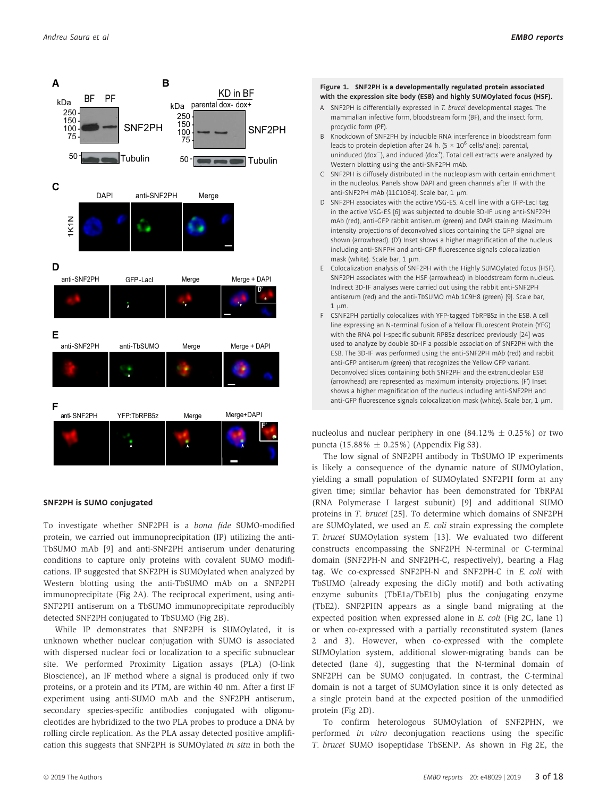

#### SNF2PH is SUMO conjugated

To investigate whether SNF2PH is a bona fide SUMO-modified protein, we carried out immunoprecipitation (IP) utilizing the anti-TbSUMO mAb [9] and anti-SNF2PH antiserum under denaturing conditions to capture only proteins with covalent SUMO modifications. IP suggested that SNF2PH is SUMOylated when analyzed by Western blotting using the anti-TbSUMO mAb on a SNF2PH immunoprecipitate (Fig 2A). The reciprocal experiment, using anti-SNF2PH antiserum on a TbSUMO immunoprecipitate reproducibly detected SNF2PH conjugated to TbSUMO (Fig 2B).

While IP demonstrates that SNF2PH is SUMOylated, it is unknown whether nuclear conjugation with SUMO is associated with dispersed nuclear foci or localization to a specific subnuclear site. We performed Proximity Ligation assays (PLA) (O-link Bioscience), an IF method where a signal is produced only if two proteins, or a protein and its PTM, are within 40 nm. After a first IF experiment using anti-SUMO mAb and the SNF2PH antiserum, secondary species-specific antibodies conjugated with oligonucleotides are hybridized to the two PLA probes to produce a DNA by rolling circle replication. As the PLA assay detected positive amplification this suggests that SNF2PH is SUMOylated in situ in both the

#### Figure 1. SNF2PH is a developmentally regulated protein associated with the expression site body (ESB) and highly SUMOylated focus (HSF).

- A SNF2PH is differentially expressed in T. brucei developmental stages. The mammalian infective form, bloodstream form (BF), and the insect form, procyclic form (PF).
- B Knockdown of SNF2PH by inducible RNA interference in bloodstream form leads to protein depletion after 24 h. (5  $\times$  10<sup>6</sup> cells/lane): parental, uninduced (dox<sup>-</sup>), and induced (dox<sup>+</sup>). Total cell extracts were analyzed by Western blotting using the anti-SNF2PH mAb.
- C SNF2PH is diffusely distributed in the nucleoplasm with certain enrichment in the nucleolus. Panels show DAPI and green channels after IF with the anti-SNF2PH mAb (11C10E4). Scale bar, 1 µm.
- D SNF2PH associates with the active VSG-ES. A cell line with a GFP-LacI tag in the active VSG-ES [6] was subjected to double 3D-IF using anti-SNF2PH mAb (red), anti-GFP rabbit antiserum (green) and DAPI staining. Maximum intensity projections of deconvolved slices containing the GFP signal are shown (arrowhead). (D') Inset shows a higher magnification of the nucleus including anti-SNFPH and anti-GFP fluorescence signals colocalization mask (white). Scale bar, 1 um.
- E Colocalization analysis of SNF2PH with the Highly SUMOylated focus (HSF). SNF2PH associates with the HSF (arrowhead) in bloodstream form nucleus. Indirect 3D-IF analyses were carried out using the rabbit anti-SNF2PH antiserum (red) and the anti-TbSUMO mAb 1C9H8 (green) [9]. Scale bar,  $1 \text{ nm}$
- F CSNF2PH partially colocalizes with YFP-tagged TbRPB5z in the ESB. A cell line expressing an N-terminal fusion of a Yellow Fluorescent Protein (YFG) with the RNA pol I-specific subunit RPB5z described previously [24] was used to analyze by double 3D-IF a possible association of SNF2PH with the ESB. The 3D-IF was performed using the anti-SNF2PH mAb (red) and rabbit anti-GFP antiserum (green) that recognizes the Yellow GFP variant. Deconvolved slices containing both SNF2PH and the extranucleolar ESB (arrowhead) are represented as maximum intensity projections. (F') Inset shows a higher magnification of the nucleus including anti-SNF2PH and anti-GFP fluorescence signals colocalization mask (white). Scale bar, 1 µm.

nucleolus and nuclear periphery in one  $(84.12\% \pm 0.25\%)$  or two puncta (15.88%  $\pm$  0.25%) (Appendix Fig S3).

The low signal of SNF2PH antibody in TbSUMO IP experiments is likely a consequence of the dynamic nature of SUMOylation, yielding a small population of SUMOylated SNF2PH form at any given time; similar behavior has been demonstrated for TbRPAI (RNA Polymerase I largest subunit) [9] and additional SUMO proteins in T. brucei [25]. To determine which domains of SNF2PH are SUMOylated, we used an E. coli strain expressing the complete T. brucei SUMOylation system [13]. We evaluated two different constructs encompassing the SNF2PH N-terminal or C-terminal domain (SNF2PH-N and SNF2PH-C, respectively), bearing a Flag tag. We co-expressed SNF2PH-N and SNF2PH-C in E. coli with TbSUMO (already exposing the diGly motif) and both activating enzyme subunits (TbE1a/TbE1b) plus the conjugating enzyme (TbE2). SNF2PHN appears as a single band migrating at the expected position when expressed alone in E. coli (Fig 2C, lane 1) or when co-expressed with a partially reconstituted system (lanes 2 and 3). However, when co-expressed with the complete SUMOylation system, additional slower-migrating bands can be detected (lane 4), suggesting that the N-terminal domain of SNF2PH can be SUMO conjugated. In contrast, the C-terminal domain is not a target of SUMOylation since it is only detected as a single protein band at the expected position of the unmodified protein (Fig 2D).

To confirm heterologous SUMOylation of SNF2PHN, we performed in vitro deconjugation reactions using the specific T. brucei SUMO isopeptidase TbSENP. As shown in Fig 2E, the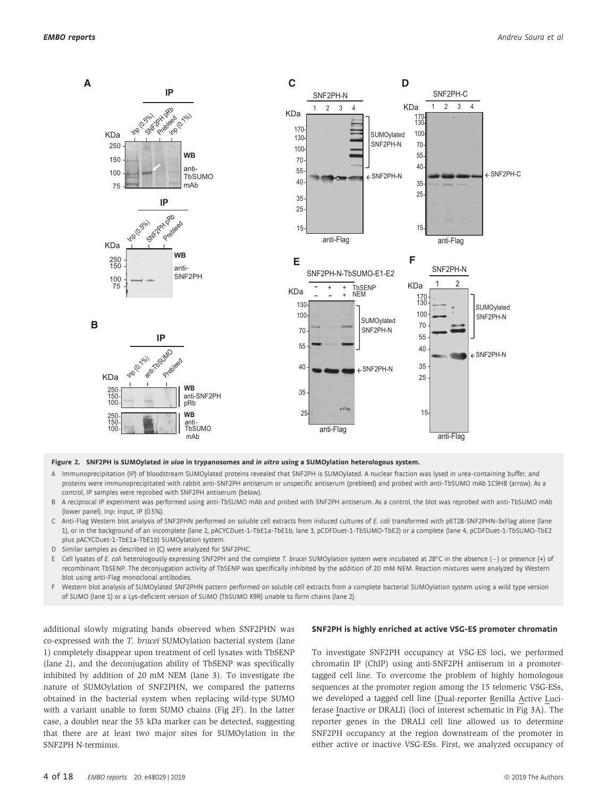

Figure 2. SNF2PH is SUMOylated in vivo in trypanosomes and in vitro using a SUMOylation heterologous system.

- A Immunoprecipitation (IP) of bloodstream SUMOylated proteins revealed that SNF2PH is SUMOylated. A nuclear fraction was lysed in urea-containing buffer, and proteins were immunoprecipitated with rabbit anti-SNF2PH antiserum or unspecific antiserum (prebleed) and probed with anti-TbSUMO mAb 1C9H8 (arrow). As a control, IP samples were reprobed with SNF2PH antiserum (below).
- B A reciprocal IP experiment was performed using anti-TbSUMO mAb and probed with SNF2PH antiserum. As a control, the blot was reprobed with anti-TbSUMO mAb (lower panel). Inp: Input, IP (0.5%).
- C Anti-Flag Western blot analysis of SNF2PHN performed on soluble cell extracts from induced cultures of E. coli transformed with pET28-SNF2PHN-3xFlag alone (lane 1), or in the background of an incomplete (lane 2, pACYCDuet-1-TbE1a-TbE1b; lane 3, pCDFDuet-1-TbSUMO-TbE2) or a complete (lane 4, pCDFDuet-1-TbSUMO-TbE2 plus pACYCDuet-1-TbE1a-TbE1b) SUMOylation system.
- D Similar samples as described in (C) were analyzed for SNF2PHC.
- E Cell lysates of E. coli heterologously expressing SNF2PH and the complete T. brucei SUMOylation system were incubated at 28°C in the absence (-) or presence (+) of recombinant TbSENP. The deconjugation activity of TbSENP was specifically inhibited by the addition of 20 mM NEM. Reaction mixtures were analyzed by Western blot using anti-Flag monoclonal antibodies.
- F Western blot analysis of SUMOylated SNF2PHN pattern performed on soluble cell extracts from a complete bacterial SUMOylation system using a wild type version of SUMO (lane 1) or a Lys-deficient version of SUMO (TbSUMO K9R) unable to form chains (lane 2).

additional slowly migrating bands observed when SNF2PHN was co-expressed with the T. brucei SUMOylation bacterial system (lane 1) completely disappear upon treatment of cell lysates with TbSENP (lane 2), and the deconjugation ability of TbSENP was specifically inhibited by addition of 20 mM NEM (lane 3). To investigate the nature of SUMOylation of SNF2PHN, we compared the patterns obtained in the bacterial system when replacing wild-type SUMO with a variant unable to form SUMO chains (Fig 2F). In the latter case, a doublet near the 55 kDa marker can be detected, suggesting that there are at least two major sites for SUMOylation in the SNF2PH N-terminus.

#### SNF2PH is highly enriched at active VSG-ES promoter chromatin

To investigate SNF2PH occupancy at VSG-ES loci, we performed chromatin IP (ChIP) using anti-SNF2PH antiserum in a promotertagged cell line. To overcome the problem of highly homologous sequences at the promoter region among the 15 telomeric VSG-ESs, we developed a tagged cell line (Dual-reporter Renilla Active Luciferase Inactive or DRALI) (loci of interest schematic in Fig 3A). The reporter genes in the DRALI cell line allowed us to determine SNF2PH occupancy at the region downstream of the promoter in either active or inactive VSG-ESs. First, we analyzed occupancy of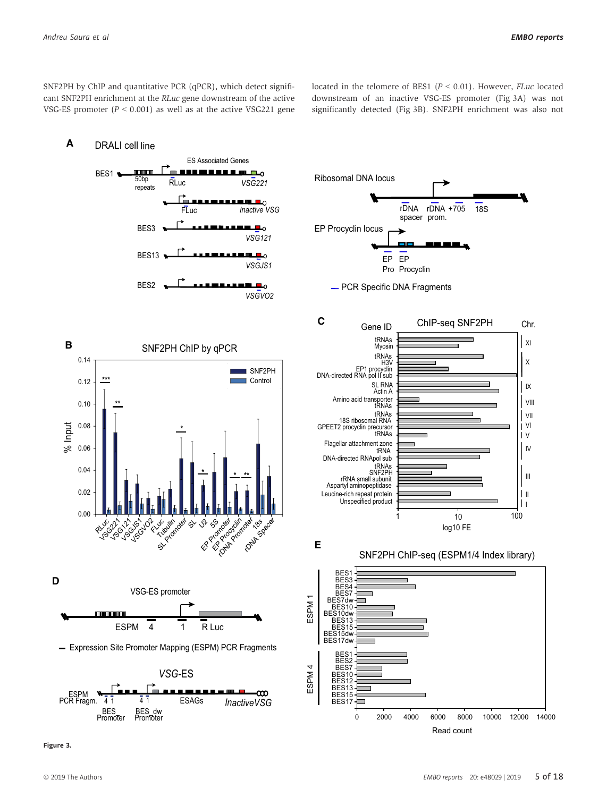SNF2PH by ChIP and quantitative PCR (qPCR), which detect significant SNF2PH enrichment at the RLuc gene downstream of the active VSG-ES promoter ( $P < 0.001$ ) as well as at the active VSG221 gene located in the telomere of BES1 ( $P < 0.01$ ). However, *FLuc* located downstream of an inactive VSG-ES promoter (Fig 3A) was not significantly detected (Fig 3B). SNF2PH enrichment was also not



Figure 3.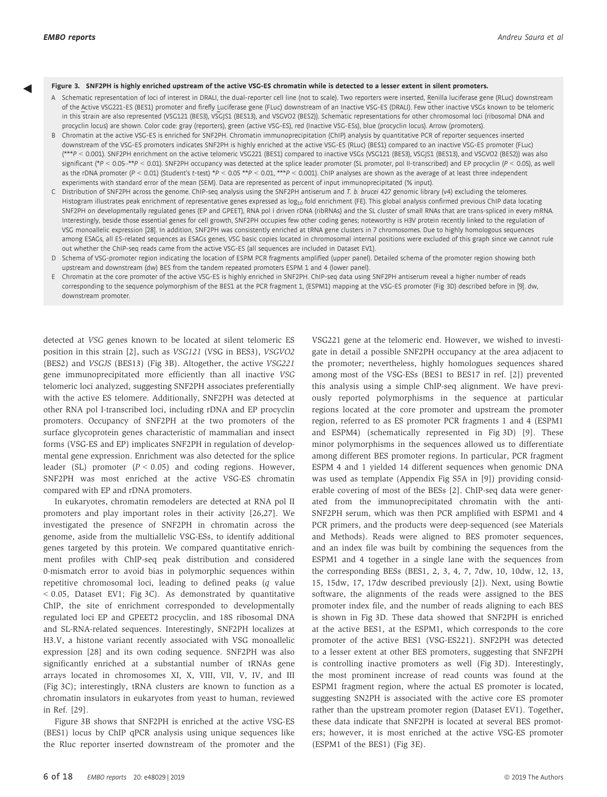◀

- Figure 3. SNF2PH is highly enriched upstream of the active VSG-ES chromatin while is detected to a lesser extent in silent promoters.<br>A Schematic representation of loci of interest in DRALI, the dual-reporter cell line (no of the Active VSG221-ES (BES1) promoter and firefly Luciferase gene (FLuc) downstream of an Inactive VSG-ES (DRALI). Few other inactive VSGs known to be telomeric in this strain are also represented (VSG121 (BES3), VSGJS1 (BES13), and VSGVO2 (BES2)). Schematic representations for other chromosomal loci (ribosomal DNA and procyclin locus) are shown. Color code: gray (reporters), green (active VSG-ES), red (Inactive VSG-ESs), blue (procyclin locus). Arrow (promoters).
- B Chromatin at the active VSG-ES is enriched for SNF2PH. Chromatin immunoprecipitation (ChIP) analysis by quantitative PCR of reporter sequences inserted downstream of the VSG-ES promoters indicates SNF2PH is highly enriched at the active VSG-ES (RLuc) (BES1) compared to an inactive VSG-ES promoter (FLuc) (\*\*\*P < 0.001). SNF2PH enrichment on the active telomeric VSG221 (BES1) compared to inactive VSGs (VSG121 (BES3), VSGJS1 (BES13), and VSGVO2 (BES2)) was also significant (\*P < 0.05–\*\*P < 0.01). SNF2PH occupancy was detected at the splice leader promoter (SL promoter, pol II-transcribed) and EP procyclin (P < 0.05), as well as the rDNA promoter (P < 0.01) (Student's t-test) \*P < 0.05 \*\*P < 0.01, \*\*\*P < 0.001). ChIP analyses are shown as the average of at least three independent experiments with standard error of the mean (SEM). Data are represented as percent of input immunoprecipitated (% input).
- C Distribution of SNF2PH across the genome. ChIP-seq analysis using the SNF2PH antiserum and T. b. brucei 427 genomic library (v4) excluding the telomeres. Histogram illustrates peak enrichment of representative genes expressed as log<sub>10</sub> fold enrichment (FE). This global analysis confirmed previous ChIP data locating SNF2PH on developmentally regulated genes (EP and GPEET), RNA pol I driven rDNA (ribRNAs) and the SL cluster of small RNAs that are trans-spliced in every mRNA. Interestingly, beside those essential genes for cell growth, SNF2PH occupies few other coding genes; noteworthy is H3V protein recently linked to the regulation of VSG monoallelic expression [28]. In addition, SNF2PH was consistently enriched at tRNA gene clusters in 7 chromosomes. Due to highly homologous sequences among ESAGs, all ES-related sequences as ESAGs genes, VSG basic copies located in chromosomal internal positions were excluded of this graph since we cannot rule out whether the ChIP-seq reads came from the active VSG-ES (all sequences are included in Dataset EV1).
- D Schema of VSG-promoter region indicating the location of ESPM PCR fragments amplified (upper panel). Detailed schema of the promoter region showing both upstream and downstream (dw) BES from the tandem repeated promoters ESPM 1 and 4 (lower panel).
- E Chromatin at the core promoter of the active VSG-ES is highly enriched in SNF2PH. ChIP-seq data using SNF2PH antiserum reveal a higher number of reads corresponding to the sequence polymorphism of the BES1 at the PCR fragment 1, (ESPM1) mapping at the VSG-ES promoter (Fig 3D) described before in [9]. dw, downstream promoter.

detected at VSG genes known to be located at silent telomeric ES position in this strain [2], such as VSG121 (VSG in BES3), VSGVO2 (BES2) and VSGJS (BES13) (Fig 3B). Altogether, the active VSG221 gene immunoprecipitated more efficiently than all inactive VSG telomeric loci analyzed, suggesting SNF2PH associates preferentially with the active ES telomere. Additionally, SNF2PH was detected at other RNA pol I-transcribed loci, including rDNA and EP procyclin promoters. Occupancy of SNF2PH at the two promoters of the surface glycoprotein genes characteristic of mammalian and insect forms (VSG-ES and EP) implicates SNF2PH in regulation of developmental gene expression. Enrichment was also detected for the splice leader (SL) promoter  $(P < 0.05)$  and coding regions. However, SNF2PH was most enriched at the active VSG-ES chromatin compared with EP and rDNA promoters.

In eukaryotes, chromatin remodelers are detected at RNA pol II promoters and play important roles in their activity [26,27]. We investigated the presence of SNF2PH in chromatin across the genome, aside from the multiallelic VSG-ESs, to identify additional genes targeted by this protein. We compared quantitative enrichment profiles with ChIP-seq peak distribution and considered 0-mismatch error to avoid bias in polymorphic sequences within repetitive chromosomal loci, leading to defined peaks (q value  $<$  0.05, Dataset EV1; Fig 3C). As demonstrated by quantitative ChIP, the site of enrichment corresponded to developmentally regulated loci EP and GPEET2 procyclin, and 18S ribosomal DNA and SL-RNA-related sequences. Interestingly, SNF2PH localizes at H3.V, a histone variant recently associated with VSG monoallelic expression [28] and its own coding sequence. SNF2PH was also significantly enriched at a substantial number of tRNAs gene arrays located in chromosomes XI, X, VIII, VII, V, IV, and III (Fig 3C); interestingly, tRNA clusters are known to function as a chromatin insulators in eukaryotes from yeast to human, reviewed in Ref. [29].

Figure 3B shows that SNF2PH is enriched at the active VSG-ES (BES1) locus by ChIP qPCR analysis using unique sequences like the Rluc reporter inserted downstream of the promoter and the

VSG221 gene at the telomeric end. However, we wished to investigate in detail a possible SNF2PH occupancy at the area adjacent to the promoter; nevertheless, highly homologues sequences shared among most of the VSG-ESs (BES1 to BES17 in ref. [2]) prevented this analysis using a simple ChIP-seq alignment. We have previously reported polymorphisms in the sequence at particular regions located at the core promoter and upstream the promoter region, referred to as ES promoter PCR fragments 1 and 4 (ESPM1 and ESPM4) (schematically represented in Fig 3D) [9]. These minor polymorphisms in the sequences allowed us to differentiate among different BES promoter regions. In particular, PCR fragment ESPM 4 and 1 yielded 14 different sequences when genomic DNA was used as template (Appendix Fig S5A in [9]) providing considerable covering of most of the BESs [2]. ChIP-seq data were generated from the immunoprecipitated chromatin with the anti-SNF2PH serum, which was then PCR amplified with ESPM1 and 4 PCR primers, and the products were deep-sequenced (see Materials and Methods). Reads were aligned to BES promoter sequences, and an index file was built by combining the sequences from the ESPM1 and 4 together in a single lane with the sequences from the corresponding BESs (BES1, 2, 3, 4, 7, 7dw, 10, 10dw, 12, 13, 15, 15dw, 17, 17dw described previously [2]). Next, using Bowtie software, the alignments of the reads were assigned to the BES promoter index file, and the number of reads aligning to each BES is shown in Fig 3D. These data showed that SNF2PH is enriched at the active BES1, at the ESPM1, which corresponds to the core promoter of the active BES1 (VSG-ES221). SNF2PH was detected to a lesser extent at other BES promoters, suggesting that SNF2PH is controlling inactive promoters as well (Fig 3D). Interestingly, the most prominent increase of read counts was found at the ESPM1 fragment region, where the actual ES promoter is located, suggesting SN2PH is associated with the active core ES promoter rather than the upstream promoter region (Dataset EV1). Together, these data indicate that SNF2PH is located at several BES promoters; however, it is most enriched at the active VSG-ES promoter (ESPM1 of the BES1) (Fig 3E).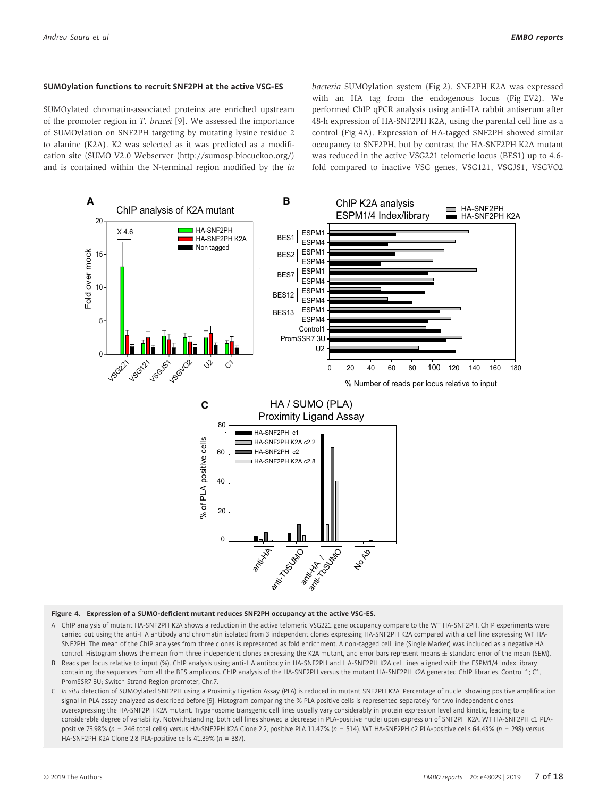#### SUMOylation functions to recruit SNF2PH at the active VSG-ES

SUMOylated chromatin-associated proteins are enriched upstream of the promoter region in T. brucei [9]. We assessed the importance of SUMOylation on SNF2PH targeting by mutating lysine residue 2 to alanine (K2A). K2 was selected as it was predicted as a modification site (SUMO V2.0 Webserver [\(http://sumosp.biocuckoo.org/\)](http://sumosp.biocuckoo.org/) and is contained within the N-terminal region modified by the in bacteria SUMOylation system (Fig 2). SNF2PH K2A was expressed with an HA tag from the endogenous locus (Fig EV2). We performed ChIP qPCR analysis using anti-HA rabbit antiserum after 48-h expression of HA-SNF2PH K2A, using the parental cell line as a control (Fig 4A). Expression of HA-tagged SNF2PH showed similar occupancy to SNF2PH, but by contrast the HA-SNF2PH K2A mutant was reduced in the active VSG221 telomeric locus (BES1) up to 4.6 fold compared to inactive VSG genes, VSG121, VSGJS1, VSGVO2



#### Figure 4. Expression of a SUMO-deficient mutant reduces SNF2PH occupancy at the active VSG-ES.

- A ChIP analysis of mutant HA-SNF2PH K2A shows a reduction in the active telomeric VSG221 gene occupancy compare to the WT HA-SNF2PH. ChIP experiments were carried out using the anti-HA antibody and chromatin isolated from 3 independent clones expressing HA-SNF2PH K2A compared with a cell line expressing WT HA-SNF2PH. The mean of the ChIP analyses from three clones is represented as fold enrichment. A non-tagged cell line (Single Marker) was included as a negative HA control. Histogram shows the mean from three independent clones expressing the K2A mutant, and error bars represent means  $\pm$  standard error of the mean (SEM).
- B Reads per locus relative to input (%). ChIP analysis using anti-HA antibody in HA-SNF2PH and HA-SNF2PH K2A cell lines aligned with the ESPM1/4 index library containing the sequences from all the BES amplicons. ChIP analysis of the HA-SNF2PH versus the mutant HA-SNF2PH K2A generated ChIP libraries. Control 1; C1, PromSSR7 3U; Switch Strand Region promoter, Chr.7.
- C In situ detection of SUMOylated SNF2PH using a Proximity Ligation Assay (PLA) is reduced in mutant SNF2PH K2A. Percentage of nuclei showing positive amplification signal in PLA assay analyzed as described before [9]. Histogram comparing the % PLA positive cells is represented separately for two independent clones overexpressing the HA-SNF2PH K2A mutant. Trypanosome transgenic cell lines usually vary considerably in protein expression level and kinetic, leading to a considerable degree of variability. Notwithstanding, both cell lines showed a decrease in PLA-positive nuclei upon expression of SNF2PH K2A. WT HA-SNF2PH c1 PLApositive 73.98% (n = 246 total cells) versus HA-SNF2PH K2A Clone 2.2, positive PLA 11.47% (n = 514). WT HA-SNF2PH c2 PLA-positive cells 64.43% (n = 298) versus HA-SNF2PH K2A Clone 2.8 PLA-positive cells 41.39% (n = 387).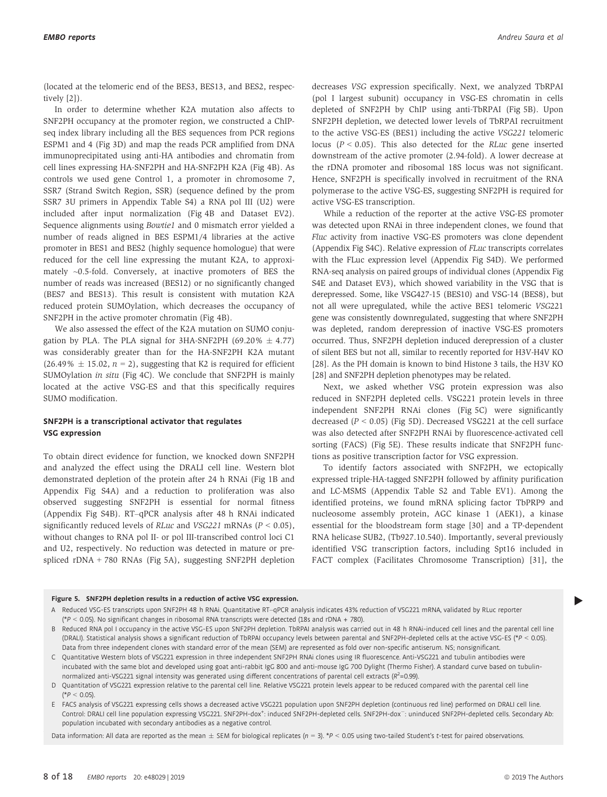(located at the telomeric end of the BES3, BES13, and BES2, respectively [2]).

In order to determine whether K2A mutation also affects to SNF2PH occupancy at the promoter region, we constructed a ChIPseq index library including all the BES sequences from PCR regions ESPM1 and 4 (Fig 3D) and map the reads PCR amplified from DNA immunoprecipitated using anti-HA antibodies and chromatin from cell lines expressing HA-SNF2PH and HA-SNF2PH K2A (Fig 4B). As controls we used gene Control 1, a promoter in chromosome 7, SSR7 (Strand Switch Region, SSR) (sequence defined by the prom SSR7 3U primers in Appendix Table S4) a RNA pol III (U2) were included after input normalization (Fig 4B and Dataset EV2). Sequence alignments using Bowtie1 and 0 mismatch error yielded a number of reads aligned in BES ESPM1/4 libraries at the active promoter in BES1 and BES2 (highly sequence homologue) that were reduced for the cell line expressing the mutant K2A, to approximately ~0.5-fold. Conversely, at inactive promoters of BES the number of reads was increased (BES12) or no significantly changed (BES7 and BES13). This result is consistent with mutation K2A reduced protein SUMOylation, which decreases the occupancy of SNF2PH in the active promoter chromatin (Fig 4B).

We also assessed the effect of the K2A mutation on SUMO conjugation by PLA. The PLA signal for 3HA-SNF2PH (69.20%  $\pm$  4.77) was considerably greater than for the HA-SNF2PH K2A mutant  $(26.49\% \pm 15.02, n = 2)$ , suggesting that K2 is required for efficient SUMOylation in situ (Fig 4C). We conclude that SNF2PH is mainly located at the active VSG-ES and that this specifically requires SUMO modification.

#### SNF2PH is a transcriptional activator that regulates VSG expression

To obtain direct evidence for function, we knocked down SNF2PH and analyzed the effect using the DRALI cell line. Western blot demonstrated depletion of the protein after 24 h RNAi (Fig 1B and Appendix Fig S4A) and a reduction to proliferation was also observed suggesting SNF2PH is essential for normal fitness (Appendix Fig S4B). RT–qPCR analysis after 48 h RNAi indicated significantly reduced levels of *RLuc* and *VSG221* mRNAs ( $P < 0.05$ ), without changes to RNA pol II- or pol III-transcribed control loci C1 and U2, respectively. No reduction was detected in mature or prespliced rDNA + 780 RNAs (Fig 5A), suggesting SNF2PH depletion decreases VSG expression specifically. Next, we analyzed TbRPAI (pol I largest subunit) occupancy in VSG-ES chromatin in cells depleted of SNF2PH by ChIP using anti-TbRPAI (Fig 5B). Upon SNF2PH depletion, we detected lower levels of TbRPAI recruitment to the active VSG-ES (BES1) including the active VSG221 telomeric locus ( $P < 0.05$ ). This also detected for the *RLuc* gene inserted downstream of the active promoter (2.94-fold). A lower decrease at the rDNA promoter and ribosomal 18S locus was not significant. Hence, SNF2PH is specifically involved in recruitment of the RNA polymerase to the active VSG-ES, suggesting SNF2PH is required for active VSG-ES transcription.

While a reduction of the reporter at the active VSG-ES promoter was detected upon RNAi in three independent clones, we found that Fluc activity from inactive VSG-ES promoters was clone dependent (Appendix Fig S4C). Relative expression of FLuc transcripts correlates with the FLuc expression level (Appendix Fig S4D). We performed RNA-seq analysis on paired groups of individual clones (Appendix Fig S4E and Dataset EV3), which showed variability in the VSG that is derepressed. Some, like VSG427-15 (BES10) and VSG-14 (BES8), but not all were upregulated, while the active BES1 telomeric VSG221 gene was consistently downregulated, suggesting that where SNF2PH was depleted, random derepression of inactive VSG-ES promoters occurred. Thus, SNF2PH depletion induced derepression of a cluster of silent BES but not all, similar to recently reported for H3V-H4V KO [28]. As the PH domain is known to bind Histone 3 tails, the H3V KO [28] and SNF2PH depletion phenotypes may be related.

Next, we asked whether VSG protein expression was also reduced in SNF2PH depleted cells. VSG221 protein levels in three independent SNF2PH RNAi clones (Fig 5C) were significantly decreased  $(P < 0.05)$  (Fig 5D). Decreased VSG221 at the cell surface was also detected after SNF2PH RNAi by fluorescence-activated cell sorting (FACS) (Fig 5E). These results indicate that SNF2PH functions as positive transcription factor for VSG expression.

To identify factors associated with SNF2PH, we ectopically expressed triple-HA-tagged SNF2PH followed by affinity purification and LC-MSMS (Appendix Table S2 and Table EV1). Among the identified proteins, we found mRNA splicing factor TbPRP9 and nucleosome assembly protein, AGC kinase 1 (AEK1), a kinase essential for the bloodstream form stage [30] and a TP-dependent RNA helicase SUB2, (Tb927.10.540). Importantly, several previously identified VSG transcription factors, including Spt16 included in FACT complex (Facilitates Chromosome Transcription) [31], the

- Figure 5. SNF2PH depletion results in a reduction of active VSG expression.<br>A Reduced VSG-ES transcripts upon SNF2PH 48 h RNAi. Quantitative RT-qPCR analysis indicates 43% reduction of VSG221 mRNA, validated by RLuc repor  $(*P < 0.05)$ . No significant changes in ribosomal RNA transcripts were detected (18s and rDNA + 780).
- B Reduced RNA pol I occupancy in the active VSG-ES upon SNF2PH depletion. TbRPAI analysis was carried out in 48 h RNAi-induced cell lines and the parental cell line (DRALI). Statistical analysis shows a significant reduction of TbRPAI occupancy levels between parental and SNF2PH-depleted cells at the active VSG-ES (\*P < 0.05). Data from three independent clones with standard error of the mean (SEM) are represented as fold over non-specific antiserum. NS; nonsignificant.
- C Quantitative Western blots of VSG221 expression in three independent SNF2PH RNAi clones using IR fluorescence. Anti-VSG221 and tubulin antibodies were incubated with the same blot and developed using goat anti-rabbit IgG 800 and anti-mouse IgG 700 Dylight (Thermo Fisher). A standard curve based on tubulinnormalized anti-VSG221 signal intensity was generated using different concentrations of parental cell extracts ( $R^2$ =0.99).
- D Quantitation of VSG221 expression relative to the parental cell line. Relative VSG221 protein levels appear to be reduced compared with the parental cell line  $(*P < 0.05)$
- E FACS analysis of VSG221 expressing cells shows a decreased active VSG221 population upon SNF2PH depletion (continuous red line) performed on DRALI cell line. Control: DRALI cell line population expressing VSG221. SNF2PH-dox<sup>+</sup>: induced SNF2PH-depleted cells. SNF2PH-dox<sup>--</sup>: uninduced SNF2PH-depleted cells. Secondary Ab: population incubated with secondary antibodies as a negative control.

Data information: All data are reported as the mean  $\pm$  SEM for biological replicates (n = 3). \*P < 0.05 using two-tailed Student's t-test for paired observations.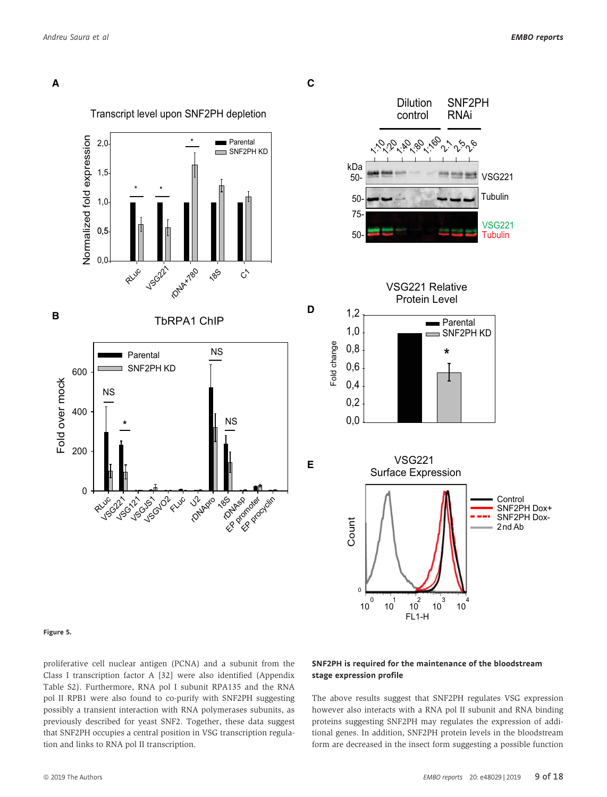



#### Figure 5.

proliferative cell nuclear antigen (PCNA) and a subunit from the Class I transcription factor A [32] were also identified (Appendix Table S2). Furthermore, RNA pol I subunit RPA135 and the RNA pol II RPB1 were also found to co-purify with SNF2PH suggesting possibly a transient interaction with RNA polymerases subunits, as previously described for yeast SNF2. Together, these data suggest that SNF2PH occupies a central position in VSG transcription regulation and links to RNA pol II transcription.

### SNF2PH is required for the maintenance of the bloodstream stage expression profile

The above results suggest that SNF2PH regulates VSG expression however also interacts with a RNA pol II subunit and RNA binding proteins suggesting SNF2PH may regulates the expression of additional genes. In addition, SNF2PH protein levels in the bloodstream form are decreased in the insect form suggesting a possible function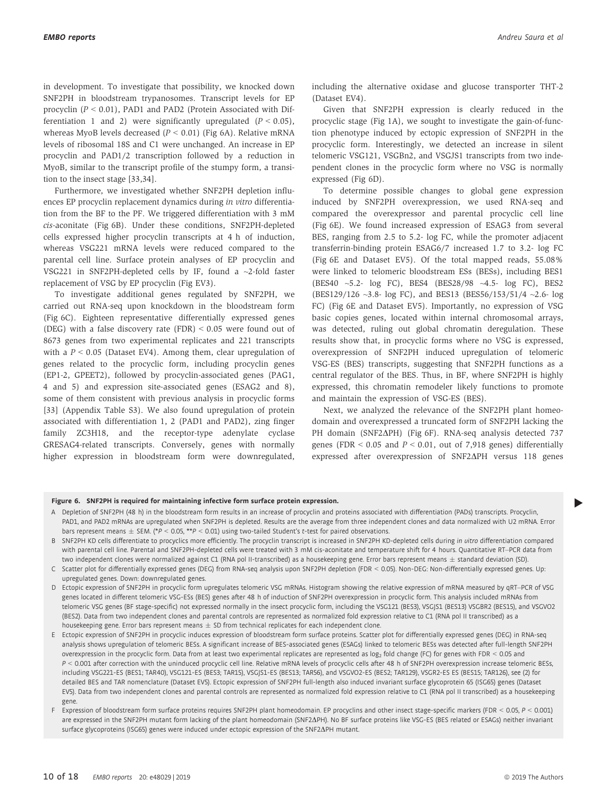in development. To investigate that possibility, we knocked down SNF2PH in bloodstream trypanosomes. Transcript levels for EP procyclin  $(P < 0.01)$ , PAD1 and PAD2 (Protein Associated with Differentiation 1 and 2) were significantly upregulated  $(P < 0.05)$ , whereas MyoB levels decreased  $(P < 0.01)$  (Fig 6A). Relative mRNA levels of ribosomal 18S and C1 were unchanged. An increase in EP procyclin and PAD1/2 transcription followed by a reduction in MyoB, similar to the transcript profile of the stumpy form, a transition to the insect stage [33,34].

Furthermore, we investigated whether SNF2PH depletion influences EP procyclin replacement dynamics during in vitro differentiation from the BF to the PF. We triggered differentiation with 3 mM cis-aconitate (Fig 6B). Under these conditions, SNF2PH-depleted cells expressed higher procyclin transcripts at 4 h of induction, whereas VSG221 mRNA levels were reduced compared to the parental cell line. Surface protein analyses of EP procyclin and VSG221 in SNF2PH-depleted cells by IF, found a ~2-fold faster replacement of VSG by EP procyclin (Fig EV3).

To investigate additional genes regulated by SNF2PH, we carried out RNA-seq upon knockdown in the bloodstream form (Fig 6C). Eighteen representative differentially expressed genes (DEG) with a false discovery rate (FDR) < 0.05 were found out of 8673 genes from two experimental replicates and 221 transcripts with a  $P < 0.05$  (Dataset EV4). Among them, clear upregulation of genes related to the procyclic form, including procyclin genes (EP1-2, GPEET2), followed by procyclin-associated genes (PAG1, 4 and 5) and expression site-associated genes (ESAG2 and 8), some of them consistent with previous analysis in procyclic forms [33] (Appendix Table S3). We also found upregulation of protein associated with differentiation 1, 2 (PAD1 and PAD2), zing finger family ZC3H18, and the receptor-type adenylate cyclase GRESAG4-related transcripts. Conversely, genes with normally higher expression in bloodstream form were downregulated,

including the alternative oxidase and glucose transporter THT-2 (Dataset EV4).

Given that SNF2PH expression is clearly reduced in the procyclic stage (Fig 1A), we sought to investigate the gain-of-function phenotype induced by ectopic expression of SNF2PH in the procyclic form. Interestingly, we detected an increase in silent telomeric VSG121, VSGBn2, and VSGJS1 transcripts from two independent clones in the procyclic form where no VSG is normally expressed (Fig 6D).

To determine possible changes to global gene expression induced by SNF2PH overexpression, we used RNA-seq and compared the overexpressor and parental procyclic cell line (Fig 6E). We found increased expression of ESAG3 from several BES, ranging from 2.5 to 5.2- log FC, while the promoter adjacent transferrin-binding protein ESAG6/7 increased 1.7 to 3.2- log FC (Fig 6E and Dataset EV5). Of the total mapped reads, 55.08% were linked to telomeric bloodstream ESs (BESs), including BES1 (BES40 ~5.2- log FC), BES4 (BES28/98 ~4.5- log FC), BES2 (BES129/126 ~3.8- log FC), and BES13 (BES56/153/51/4 ~2.6- log FC) (Fig 6E and Dataset EV5). Importantly, no expression of VSG basic copies genes, located within internal chromosomal arrays, was detected, ruling out global chromatin deregulation. These results show that, in procyclic forms where no VSG is expressed, overexpression of SNF2PH induced upregulation of telomeric VSG-ES (BES) transcripts, suggesting that SNF2PH functions as a central regulator of the BES. Thus, in BF, where SNF2PH is highly expressed, this chromatin remodeler likely functions to promote and maintain the expression of VSG-ES (BES).

Next, we analyzed the relevance of the SNF2PH plant homeodomain and overexpressed a truncated form of SNF2PH lacking the PH domain (SNF2ΔPH) (Fig 6F). RNA-seq analysis detected 737 genes (FDR  $\leq$  0.05 and  $P \leq$  0.01, out of 7,918 genes) differentially expressed after overexpression of SNF2DPH versus 118 genes

- Figure 6. SNF2PH is required for maintaining infective form surface protein expression.<br>A Depletion of SNF2PH (48 h) in the bloodstream form results in an increase of procyclin and proteins associated with differentiation PAD1, and PAD2 mRNAs are upregulated when SNF2PH is depleted. Results are the average from three independent clones and data normalized with U2 mRNA. Error bars represent means  $\pm$  SEM. (\*P < 0.05, \*\*P < 0.01) using two-tailed Student's t-test for paired observations.
- B SNF2PH KD cells differentiate to procyclics more efficiently. The procyclin transcript is increased in SNF2PH KD-depleted cells during in vitro differentiation compared with parental cell line. Parental and SNF2PH-depleted cells were treated with 3 mM cis-aconitate and temperature shift for 4 hours. Quantitative RT–PCR data from two independent clones were normalized against C1 (RNA pol II-transcribed) as a housekeeping gene. Error bars represent means  $\pm$  standard deviation (SD).
- C Scatter plot for differentially expressed genes (DEG) from RNA-seq analysis upon SNF2PH depletion (FDR < 0.05). Non-DEG: Non-differentially expressed genes. Up: upregulated genes. Down: downregulated genes.
- D Ectopic expression of SNF2PH in procyclic form upregulates telomeric VSG mRNAs. Histogram showing the relative expression of mRNA measured by qRT–PCR of VSG genes located in different telomeric VSG-ESs (BES) genes after 48 h of induction of SNF2PH overexpression in procyclic form. This analysis included mRNAs from telomeric VSG genes (BF stage-specific) not expressed normally in the insect procyclic form, including the VSG121 (BES3), VSGJS1 (BES13) VSGBR2 (BES15), and VSGVO2 (BES2). Data from two independent clones and parental controls are represented as normalized fold expression relative to C1 (RNA pol II transcribed) as a housekeeping gene. Error bars represent means  $\pm$  SD from technical replicates for each independent clone.

E Ectopic expression of SNF2PH in procyclic induces expression of bloodstream form surface proteins. Scatter plot for differentially expressed genes (DEG) in RNA-seq analysis shows upregulation of telomeric BESs. A significant increase of BES-associated genes (ESAGs) linked to telomeric BESs was detected after full-length SNF2PH overexpression in the procyclic form. Data from at least two experimental replicates are represented as log<sub>2</sub> fold change (FC) for genes with FDR < 0.05 and P < 0.001 after correction with the uninduced procyclic cell line. Relative mRNA levels of procyclic cells after 48 h of SNF2PH overexpression increase telomeric BESs, including VSG221-ES (BES1; TAR40), VSG121-ES (BES3; TAR15), VSGJS1-ES (BES13; TAR56), and VSGVO2-ES (BES2; TAR129), VSGR2-ES ES (BES15; TAR126), see (2) for detailed BES and TAR nomenclature (Dataset EV5). Ectopic expression of SNF2PH full-length also induced invariant surface glycoprotein 65 (ISG65) genes (Dataset EV5). Data from two independent clones and parental controls are represented as normalized fold expression relative to C1 (RNA pol II transcribed) as a housekeeping gene.

F Expression of bloodstream form surface proteins requires SNF2PH plant homeodomain. EP procyclins and other insect stage-specific markers (FDR < 0.05, P < 0.001) are expressed in the SNF2PH mutant form lacking of the plant homeodomain (SNF2DPH). No BF surface proteins like VSG-ES (BES related or ESAGs) neither invariant surface glycoproteins (ISG65) genes were induced under ectopic expression of the SNF2 $\Delta$ PH mutant.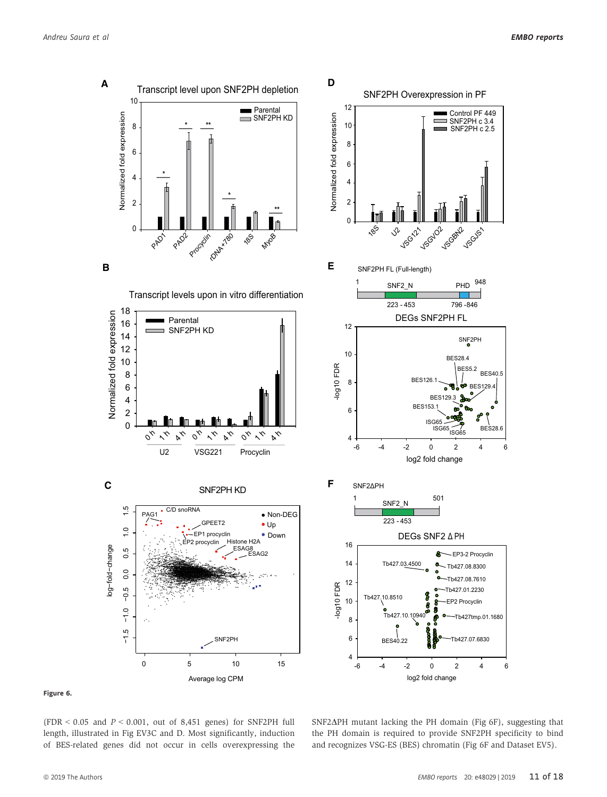

#### Figure 6.

(FDR  $<$  0.05 and  $P <$  0.001, out of 8,451 genes) for SNF2PH full length, illustrated in Fig EV3C and D. Most significantly, induction of BES-related genes did not occur in cells overexpressing the

 $SNF2\Delta PH$  mutant lacking the PH domain (Fig 6F), suggesting that the PH domain is required to provide SNF2PH specificity to bind and recognizes VSG-ES (BES) chromatin (Fig 6F and Dataset EV5).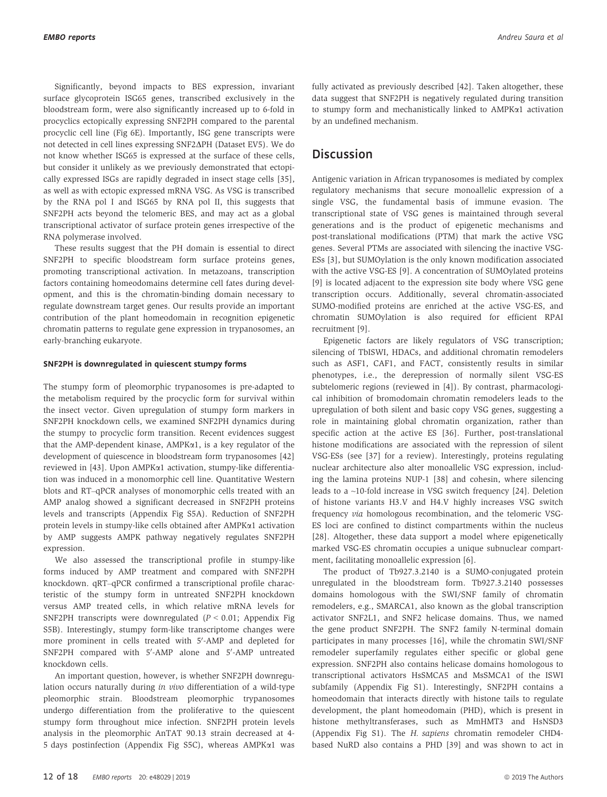Significantly, beyond impacts to BES expression, invariant surface glycoprotein ISG65 genes, transcribed exclusively in the bloodstream form, were also significantly increased up to 6-fold in procyclics ectopically expressing SNF2PH compared to the parental procyclic cell line (Fig 6E). Importantly, ISG gene transcripts were not detected in cell lines expressing SNF2DPH (Dataset EV5). We do not know whether ISG65 is expressed at the surface of these cells, but consider it unlikely as we previously demonstrated that ectopically expressed ISGs are rapidly degraded in insect stage cells [35], as well as with ectopic expressed mRNA VSG. As VSG is transcribed by the RNA pol I and ISG65 by RNA pol II, this suggests that SNF2PH acts beyond the telomeric BES, and may act as a global transcriptional activator of surface protein genes irrespective of the RNA polymerase involved.

These results suggest that the PH domain is essential to direct SNF2PH to specific bloodstream form surface proteins genes, promoting transcriptional activation. In metazoans, transcription factors containing homeodomains determine cell fates during development, and this is the chromatin-binding domain necessary to regulate downstream target genes. Our results provide an important contribution of the plant homeodomain in recognition epigenetic chromatin patterns to regulate gene expression in trypanosomes, an early-branching eukaryote.

#### SNF2PH is downregulated in quiescent stumpy forms

The stumpy form of pleomorphic trypanosomes is pre-adapted to the metabolism required by the procyclic form for survival within the insect vector. Given upregulation of stumpy form markers in SNF2PH knockdown cells, we examined SNF2PH dynamics during the stumpy to procyclic form transition. Recent evidences suggest that the AMP-dependent kinase, AMPKa1, is a key regulator of the development of quiescence in bloodstream form trypanosomes [42] reviewed in [43]. Upon AMPKa1 activation, stumpy-like differentiation was induced in a monomorphic cell line. Quantitative Western blots and RT–qPCR analyses of monomorphic cells treated with an AMP analog showed a significant decreased in SNF2PH proteins levels and transcripts (Appendix Fig S5A). Reduction of SNF2PH protein levels in stumpy-like cells obtained after AMPKa1 activation by AMP suggests AMPK pathway negatively regulates SNF2PH expression.

We also assessed the transcriptional profile in stumpy-like forms induced by AMP treatment and compared with SNF2PH knockdown. qRT–qPCR confirmed a transcriptional profile characteristic of the stumpy form in untreated SNF2PH knockdown versus AMP treated cells, in which relative mRNA levels for SNF2PH transcripts were downregulated  $(P < 0.01$ ; Appendix Fig S5B). Interestingly, stumpy form-like transcriptome changes were more prominent in cells treated with 5'-AMP and depleted for SNF2PH compared with 5'-AMP alone and 5'-AMP untreated knockdown cells.

An important question, however, is whether SNF2PH downregulation occurs naturally during in vivo differentiation of a wild-type pleomorphic strain. Bloodstream pleomorphic trypanosomes undergo differentiation from the proliferative to the quiescent stumpy form throughout mice infection. SNF2PH protein levels analysis in the pleomorphic AnTAT 90.13 strain decreased at 4- 5 days postinfection (Appendix Fig S5C), whereas AMPKa1 was fully activated as previously described [42]. Taken altogether, these data suggest that SNF2PH is negatively regulated during transition to stumpy form and mechanistically linked to AMPKa1 activation by an undefined mechanism.

## **Discussion**

Antigenic variation in African trypanosomes is mediated by complex regulatory mechanisms that secure monoallelic expression of a single VSG, the fundamental basis of immune evasion. The transcriptional state of VSG genes is maintained through several generations and is the product of epigenetic mechanisms and post-translational modifications (PTM) that mark the active VSG genes. Several PTMs are associated with silencing the inactive VSG-ESs [3], but SUMOylation is the only known modification associated with the active VSG-ES [9]. A concentration of SUMOylated proteins [9] is located adjacent to the expression site body where VSG gene transcription occurs. Additionally, several chromatin-associated SUMO-modified proteins are enriched at the active VSG-ES, and chromatin SUMOylation is also required for efficient RPAI recruitment [9].

Epigenetic factors are likely regulators of VSG transcription; silencing of TbISWI, HDACs, and additional chromatin remodelers such as ASF1, CAF1, and FACT, consistently results in similar phenotypes, i.e., the derepression of normally silent VSG-ES subtelomeric regions (reviewed in [4]). By contrast, pharmacological inhibition of bromodomain chromatin remodelers leads to the upregulation of both silent and basic copy VSG genes, suggesting a role in maintaining global chromatin organization, rather than specific action at the active ES [36]. Further, post-translational histone modifications are associated with the repression of silent VSG-ESs (see [37] for a review). Interestingly, proteins regulating nuclear architecture also alter monoallelic VSG expression, including the lamina proteins NUP-1 [38] and cohesin, where silencing leads to a ~10-fold increase in VSG switch frequency [24]. Deletion of histone variants H3.V and H4.V highly increases VSG switch frequency via homologous recombination, and the telomeric VSG-ES loci are confined to distinct compartments within the nucleus [28]. Altogether, these data support a model where epigenetically marked VSG-ES chromatin occupies a unique subnuclear compartment, facilitating monoallelic expression [6].

The product of Tb927.3.2140 is a SUMO-conjugated protein unregulated in the bloodstream form. Tb927.3.2140 possesses domains homologous with the SWI/SNF family of chromatin remodelers, e.g., SMARCA1, also known as the global transcription activator SNF2L1, and SNF2 helicase domains. Thus, we named the gene product SNF2PH. The SNF2 family N-terminal domain participates in many processes [16], while the chromatin SWI/SNF remodeler superfamily regulates either specific or global gene expression. SNF2PH also contains helicase domains homologous to transcriptional activators HsSMCA5 and MsSMCA1 of the ISWI subfamily (Appendix Fig S1). Interestingly, SNF2PH contains a homeodomain that interacts directly with histone tails to regulate development, the plant homeodomain (PHD), which is present in histone methyltransferases, such as MmHMT3 and HsNSD3 (Appendix Fig S1). The H. sapiens chromatin remodeler CHD4 based NuRD also contains a PHD [39] and was shown to act in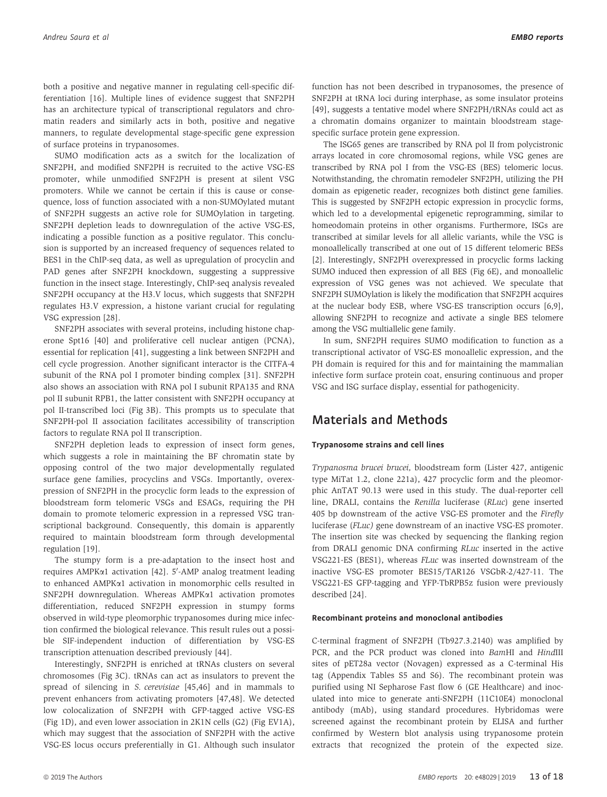both a positive and negative manner in regulating cell-specific differentiation [16]. Multiple lines of evidence suggest that SNF2PH has an architecture typical of transcriptional regulators and chromatin readers and similarly acts in both, positive and negative manners, to regulate developmental stage-specific gene expression of surface proteins in trypanosomes.

SUMO modification acts as a switch for the localization of SNF2PH, and modified SNF2PH is recruited to the active VSG-ES promoter, while unmodified SNF2PH is present at silent VSG promoters. While we cannot be certain if this is cause or consequence, loss of function associated with a non-SUMOylated mutant of SNF2PH suggests an active role for SUMOylation in targeting. SNF2PH depletion leads to downregulation of the active VSG-ES, indicating a possible function as a positive regulator. This conclusion is supported by an increased frequency of sequences related to BES1 in the ChIP-seq data, as well as upregulation of procyclin and PAD genes after SNF2PH knockdown, suggesting a suppressive function in the insect stage. Interestingly, ChIP-seq analysis revealed SNF2PH occupancy at the H3.V locus, which suggests that SNF2PH regulates H3.V expression, a histone variant crucial for regulating VSG expression [28].

SNF2PH associates with several proteins, including histone chaperone Spt16 [40] and proliferative cell nuclear antigen (PCNA), essential for replication [41], suggesting a link between SNF2PH and cell cycle progression. Another significant interactor is the CITFA-4 subunit of the RNA pol I promoter binding complex [31]. SNF2PH also shows an association with RNA pol I subunit RPA135 and RNA pol II subunit RPB1, the latter consistent with SNF2PH occupancy at pol II-transcribed loci (Fig 3B). This prompts us to speculate that SNF2PH-pol II association facilitates accessibility of transcription factors to regulate RNA pol II transcription.

SNF2PH depletion leads to expression of insect form genes, which suggests a role in maintaining the BF chromatin state by opposing control of the two major developmentally regulated surface gene families, procyclins and VSGs. Importantly, overexpression of SNF2PH in the procyclic form leads to the expression of bloodstream form telomeric VSGs and ESAGs, requiring the PH domain to promote telomeric expression in a repressed VSG transcriptional background. Consequently, this domain is apparently required to maintain bloodstream form through developmental regulation [19].

The stumpy form is a pre-adaptation to the insect host and requires AMPK¤1 activation [42]. 5'-AMP analog treatment leading to enhanced AMPKa1 activation in monomorphic cells resulted in SNF2PH downregulation. Whereas AMPK $\alpha$ 1 activation promotes differentiation, reduced SNF2PH expression in stumpy forms observed in wild-type pleomorphic trypanosomes during mice infection confirmed the biological relevance. This result rules out a possible SIF-independent induction of differentiation by VSG-ES transcription attenuation described previously [44].

Interestingly, SNF2PH is enriched at tRNAs clusters on several chromosomes (Fig 3C). tRNAs can act as insulators to prevent the spread of silencing in S. cerevisiae [45,46] and in mammals to prevent enhancers from activating promoters [47,48]. We detected low colocalization of SNF2PH with GFP-tagged active VSG-ES (Fig 1D), and even lower association in 2K1N cells (G2) (Fig EV1A), which may suggest that the association of SNF2PH with the active VSG-ES locus occurs preferentially in G1. Although such insulator function has not been described in trypanosomes, the presence of SNF2PH at tRNA loci during interphase, as some insulator proteins [49], suggests a tentative model where SNF2PH/tRNAs could act as a chromatin domains organizer to maintain bloodstream stagespecific surface protein gene expression.

The ISG65 genes are transcribed by RNA pol II from polycistronic arrays located in core chromosomal regions, while VSG genes are transcribed by RNA pol I from the VSG-ES (BES) telomeric locus. Notwithstanding, the chromatin remodeler SNF2PH, utilizing the PH domain as epigenetic reader, recognizes both distinct gene families. This is suggested by SNF2PH ectopic expression in procyclic forms, which led to a developmental epigenetic reprogramming, similar to homeodomain proteins in other organisms. Furthermore, ISGs are transcribed at similar levels for all allelic variants, while the VSG is monoallelically transcribed at one out of 15 different telomeric BESs [2]. Interestingly, SNF2PH overexpressed in procyclic forms lacking SUMO induced then expression of all BES (Fig 6E), and monoallelic expression of VSG genes was not achieved. We speculate that SNF2PH SUMOylation is likely the modification that SNF2PH acquires at the nuclear body ESB, where VSG-ES transcription occurs [6,9], allowing SNF2PH to recognize and activate a single BES telomere among the VSG multiallelic gene family.

In sum, SNF2PH requires SUMO modification to function as a transcriptional activator of VSG-ES monoallelic expression, and the PH domain is required for this and for maintaining the mammalian infective form surface protein coat, ensuring continuous and proper VSG and ISG surface display, essential for pathogenicity.

# Materials and Methods

#### Trypanosome strains and cell lines

Trypanosma brucei brucei, bloodstream form (Lister 427, antigenic type MiTat 1.2, clone 221a), 427 procyclic form and the pleomorphic AnTAT 90.13 were used in this study. The dual-reporter cell line, DRALI, contains the Renilla luciferase (RLuc) gene inserted 405 bp downstream of the active VSG-ES promoter and the Firefly luciferase (FLuc) gene downstream of an inactive VSG-ES promoter. The insertion site was checked by sequencing the flanking region from DRALI genomic DNA confirming RLuc inserted in the active VSG221-ES (BES1), whereas FLuc was inserted downstream of the inactive VSG-ES promoter BES15/TAR126 VSGbR-2/427-11. The VSG221-ES GFP-tagging and YFP-TbRPB5z fusion were previously described [24].

#### Recombinant proteins and monoclonal antibodies

C-terminal fragment of SNF2PH (Tb927.3.2140) was amplified by PCR, and the PCR product was cloned into BamHI and HindIII sites of pET28a vector (Novagen) expressed as a C-terminal His tag (Appendix Tables S5 and S6). The recombinant protein was purified using NI Sepharose Fast flow 6 (GE Healthcare) and inoculated into mice to generate anti-SNF2PH (11C10E4) monoclonal antibody (mAb), using standard procedures. Hybridomas were screened against the recombinant protein by ELISA and further confirmed by Western blot analysis using trypanosome protein extracts that recognized the protein of the expected size.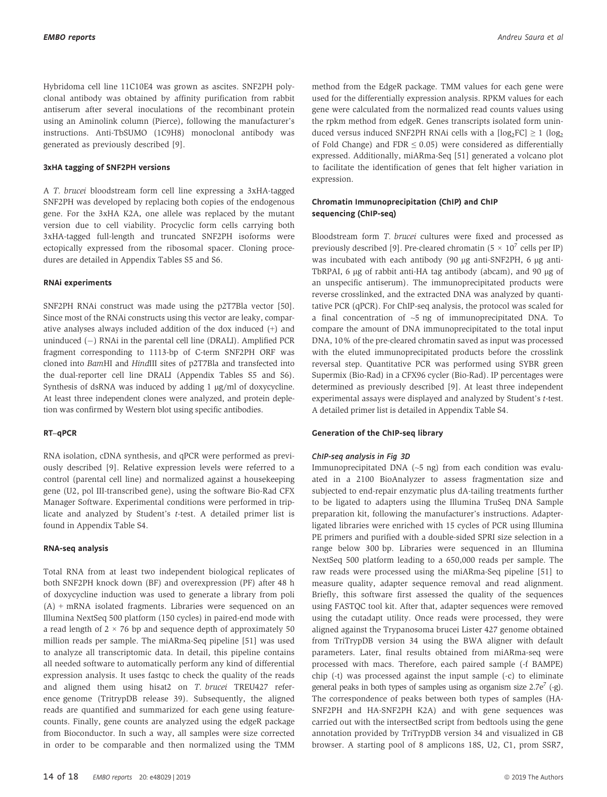Hybridoma cell line 11C10E4 was grown as ascites. SNF2PH polyclonal antibody was obtained by affinity purification from rabbit antiserum after several inoculations of the recombinant protein using an Aminolink column (Pierce), following the manufacturer's instructions. Anti-TbSUMO (1C9H8) monoclonal antibody was generated as previously described [9].

#### 3xHA tagging of SNF2PH versions

A T. brucei bloodstream form cell line expressing a 3xHA-tagged SNF2PH was developed by replacing both copies of the endogenous gene. For the 3xHA K2A, one allele was replaced by the mutant version due to cell viability. Procyclic form cells carrying both 3xHA-tagged full-length and truncated SNF2PH isoforms were ectopically expressed from the ribosomal spacer. Cloning procedures are detailed in Appendix Tables S5 and S6.

#### RNAi experiments

SNF2PH RNAi construct was made using the p2T7Bla vector [50]. Since most of the RNAi constructs using this vector are leaky, comparative analyses always included addition of the dox induced (+) and uninduced  $(-)$  RNAi in the parental cell line (DRALI). Amplified PCR fragment corresponding to 1113-bp of C-term SNF2PH ORF was cloned into BamHI and HindIII sites of p2T7Bla and transfected into the dual-reporter cell line DRALI (Appendix Tables S5 and S6). Synthesis of dsRNA was induced by adding  $1 \mu g/ml$  of doxycycline. At least three independent clones were analyzed, and protein depletion was confirmed by Western blot using specific antibodies.

#### RT–qPCR

RNA isolation, cDNA synthesis, and qPCR were performed as previously described [9]. Relative expression levels were referred to a control (parental cell line) and normalized against a housekeeping gene (U2, pol III-transcribed gene), using the software Bio-Rad CFX Manager Software. Experimental conditions were performed in triplicate and analyzed by Student's t-test. A detailed primer list is found in Appendix Table S4.

#### RNA-seq analysis

Total RNA from at least two independent biological replicates of both SNF2PH knock down (BF) and overexpression (PF) after 48 h of doxycycline induction was used to generate a library from poli (A) + mRNA isolated fragments. Libraries were sequenced on an Illumina NextSeq 500 platform (150 cycles) in paired-end mode with a read length of  $2 \times 76$  bp and sequence depth of approximately 50 million reads per sample. The miARma-Seq pipeline [51] was used to analyze all transcriptomic data. In detail, this pipeline contains all needed software to automatically perform any kind of differential expression analysis. It uses fastqc to check the quality of the reads and aligned them using hisat2 on T. brucei TREU427 reference genome (TritrypDB release 39). Subsequently, the aligned reads are quantified and summarized for each gene using featurecounts. Finally, gene counts are analyzed using the edgeR package from Bioconductor. In such a way, all samples were size corrected in order to be comparable and then normalized using the TMM method from the EdgeR package. TMM values for each gene were used for the differentially expression analysis. RPKM values for each gene were calculated from the normalized read counts values using the rpkm method from edgeR. Genes transcripts isolated form uninduced versus induced SNF2PH RNAi cells with a  $[log_2FC] \ge 1$   $(log_2$ of Fold Change) and FDR  $\leq$  0.05) were considered as differentially expressed. Additionally, miARma-Seq [51] generated a volcano plot to facilitate the identification of genes that felt higher variation in expression.

#### Chromatin Immunoprecipitation (ChIP) and ChIP sequencing (ChIP-seq)

Bloodstream form T. brucei cultures were fixed and processed as previously described [9]. Pre-cleared chromatin ( $5 \times 10^7$  cells per IP) was incubated with each antibody (90 µg anti-SNF2PH, 6 µg anti-TbRPAI, 6 µg of rabbit anti-HA tag antibody (abcam), and 90 µg of an unspecific antiserum). The immunoprecipitated products were reverse crosslinked, and the extracted DNA was analyzed by quantitative PCR (qPCR). For ChIP-seq analysis, the protocol was scaled for a final concentration of  $\sim$ 5 ng of immunoprecipitated DNA. To compare the amount of DNA immunoprecipitated to the total input DNA, 10% of the pre-cleared chromatin saved as input was processed with the eluted immunoprecipitated products before the crosslink reversal step. Quantitative PCR was performed using SYBR green Supermix (Bio-Rad) in a CFX96 cycler (Bio-Rad). IP percentages were determined as previously described [9]. At least three independent experimental assays were displayed and analyzed by Student's t-test. A detailed primer list is detailed in Appendix Table S4.

#### Generation of the ChIP-seq library

Immunoprecipitated DNA (~5 ng) from each condition was evaluated in a 2100 BioAnalyzer to assess fragmentation size and subjected to end-repair enzymatic plus dA-tailing treatments further to be ligated to adapters using the Illumina TruSeq DNA Sample preparation kit, following the manufacturer's instructions. Adapterligated libraries were enriched with 15 cycles of PCR using Illumina PE primers and purified with a double-sided SPRI size selection in a range below 300 bp. Libraries were sequenced in an Illumina NextSeq 500 platform leading to a 650,000 reads per sample. The raw reads were processed using the miARma-Seq pipeline [51] to measure quality, adapter sequence removal and read alignment. Briefly, this software first assessed the quality of the sequences using FASTQC tool kit. After that, adapter sequences were removed using the cutadapt utility. Once reads were processed, they were aligned against the Trypanosoma brucei Lister 427 genome obtained from TriTrypDB version 34 using the BWA aligner with default parameters. Later, final results obtained from miARma-seq were processed with macs. Therefore, each paired sample (-f BAMPE) chip (-t) was processed against the input sample (-c) to eliminate general peaks in both types of samples using as organism size  $2.7e^7$  (-g). The correspondence of peaks between both types of samples (HA-SNF2PH and HA-SNF2PH K2A) and with gene sequences was carried out with the intersectBed script from bedtools using the gene annotation provided by TriTrypDB version 34 and visualized in GB browser. A starting pool of 8 amplicons 18S, U2, C1, prom SSR7,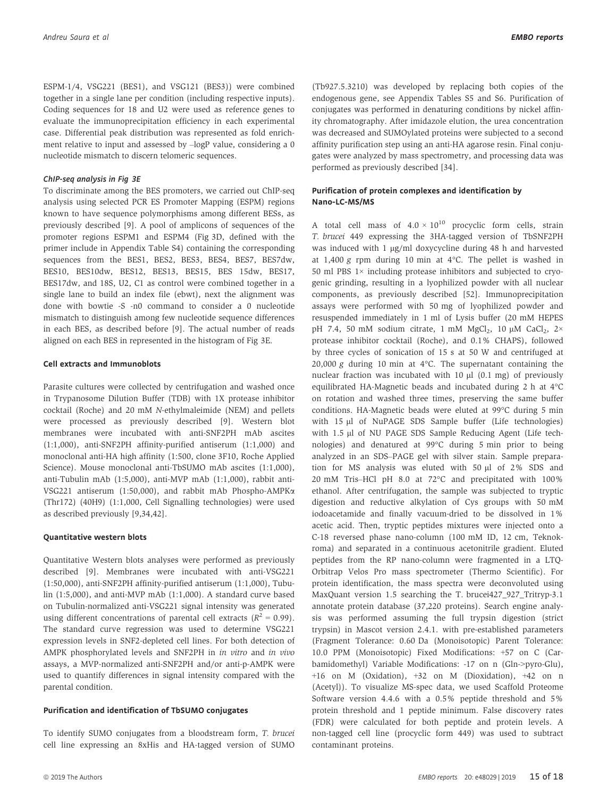ESPM-1/4, VSG221 (BES1), and VSG121 (BES3)) were combined together in a single lane per condition (including respective inputs).

Coding sequences for 18 and U2 were used as reference genes to evaluate the immunoprecipitation efficiency in each experimental case. Differential peak distribution was represented as fold enrichment relative to input and assessed by –logP value, considering a 0 nucleotide mismatch to discern telomeric sequences.

To discriminate among the BES promoters, we carried out ChIP-seq analysis using selected PCR ES Promoter Mapping (ESPM) regions known to have sequence polymorphisms among different BESs, as previously described [9]. A pool of amplicons of sequences of the promoter regions ESPM1 and ESPM4 (Fig 3D, defined with the primer include in Appendix Table S4) containing the corresponding sequences from the BES1, BES2, BES3, BES4, BES7, BES7dw, BES10, BES10dw, BES12, BES13, BES15, BES 15dw, BES17, BES17dw, and 18S, U2, C1 as control were combined together in a single lane to build an index file (ebwt), next the alignment was done with bowtie -S -n0 command to consider a 0 nucleotide mismatch to distinguish among few nucleotide sequence differences in each BES, as described before [9]. The actual number of reads aligned on each BES in represented in the histogram of Fig 3E.

#### Cell extracts and Immunoblots

Parasite cultures were collected by centrifugation and washed once in Trypanosome Dilution Buffer (TDB) with 1X protease inhibitor cocktail (Roche) and 20 mM N-ethylmaleimide (NEM) and pellets were processed as previously described [9]. Western blot membranes were incubated with anti-SNF2PH mAb ascites (1:1,000), anti-SNF2PH affinity-purified antiserum (1:1,000) and monoclonal anti-HA high affinity (1:500, clone 3F10, Roche Applied Science). Mouse monoclonal anti-TbSUMO mAb ascites (1:1,000), anti-Tubulin mAb (1:5,000), anti-MVP mAb (1:1,000), rabbit anti-VSG221 antiserum (1:50,000), and rabbit mAb Phospho-AMPKa (Thr172) (40H9) (1:1,000, Cell Signalling technologies) were used as described previously [9,34,42].

### Quantitative western blots

Quantitative Western blots analyses were performed as previously described [9]. Membranes were incubated with anti-VSG221 (1:50,000), anti-SNF2PH affinity-purified antiserum (1:1,000), Tubulin (1:5,000), and anti-MVP mAb (1:1,000). A standard curve based on Tubulin-normalized anti-VSG221 signal intensity was generated using different concentrations of parental cell extracts ( $R^2 = 0.99$ ). The standard curve regression was used to determine VSG221 expression levels in SNF2-depleted cell lines. For both detection of AMPK phosphorylated levels and SNF2PH in in vitro and in vivo assays, a MVP-normalized anti-SNF2PH and/or anti-p-AMPK were used to quantify differences in signal intensity compared with the parental condition.

### Purification and identification of TbSUMO conjugates

To identify SUMO conjugates from a bloodstream form, T. brucei cell line expressing an 8xHis and HA-tagged version of SUMO

(Tb927.5.3210) was developed by replacing both copies of the endogenous gene, see Appendix Tables S5 and S6. Purification of conjugates was performed in denaturing conditions by nickel affinity chromatography. After imidazole elution, the urea concentration was decreased and SUMOylated proteins were subjected to a second affinity purification step using an anti-HA agarose resin. Final conjugates were analyzed by mass spectrometry, and processing data was performed as previously described [34].

### Purification of protein complexes and identification by Nano-LC-MS/MS

A total cell mass of  $4.0 \times 10^{10}$  procyclic form cells, strain T. brucei 449 expressing the 3HA-tagged version of TbSNF2PH was induced with  $1 \mu g/ml$  doxycycline during 48 h and harvested at 1,400 g rpm during 10 min at 4°C. The pellet is washed in 50 ml PBS  $1\times$  including protease inhibitors and subjected to cryogenic grinding, resulting in a lyophilized powder with all nuclear components, as previously described [52]. Immunoprecipitation assays were performed with 50 mg of lyophilized powder and resuspended immediately in 1 ml of Lysis buffer (20 mM HEPES pH 7.4, 50 mM sodium citrate, 1 mM  $MgCl<sub>2</sub>$ , 10  $\mu$ M CaCl<sub>2</sub>, 2× protease inhibitor cocktail (Roche), and 0.1% CHAPS), followed by three cycles of sonication of 15 s at 50 W and centrifuged at 20,000 g during 10 min at  $4^{\circ}$ C. The supernatant containing the nuclear fraction was incubated with  $10 \mu$  (0.1 mg) of previously equilibrated HA-Magnetic beads and incubated during 2 h at 4°C on rotation and washed three times, preserving the same buffer conditions. HA-Magnetic beads were eluted at 99°C during 5 min with 15 µl of NuPAGE SDS Sample buffer (Life technologies) with 1.5 µl of NU PAGE SDS Sample Reducing Agent (Life technologies) and denatured at 99°C during 5 min prior to being analyzed in an SDS–PAGE gel with silver stain. Sample preparation for MS analysis was eluted with 50  $\mu$ l of 2% SDS and 20 mM Tris–HCl pH 8.0 at 72°C and precipitated with 100% ethanol. After centrifugation, the sample was subjected to tryptic digestion and reductive alkylation of Cys groups with 50 mM iodoacetamide and finally vacuum-dried to be dissolved in 1% acetic acid. Then, tryptic peptides mixtures were injected onto a C-18 reversed phase nano-column (100 mM ID, 12 cm, Teknokroma) and separated in a continuous acetonitrile gradient. Eluted peptides from the RP nano-column were fragmented in a LTQ-Orbitrap Velos Pro mass spectrometer (Thermo Scientific). For protein identification, the mass spectra were deconvoluted using MaxQuant version 1.5 searching the T. brucei427\_927\_Tritryp-3.1 annotate protein database (37,220 proteins). Search engine analysis was performed assuming the full trypsin digestion (strict trypsin) in Mascot version 2.4.1. with pre-established parameters (Fragment Tolerance: 0.60 Da (Monoisotopic) Parent Tolerance: 10.0 PPM (Monoisotopic) Fixed Modifications: +57 on C (Carbamidomethyl) Variable Modifications: -17 on n (Gln->pyro-Glu), +16 on M (Oxidation), +32 on M (Dioxidation), +42 on n (Acetyl)). To visualize MS-spec data, we used Scaffold Proteome Software version 4.4.6 with a 0.5% peptide threshold and 5% protein threshold and 1 peptide minimum. False discovery rates (FDR) were calculated for both peptide and protein levels. A non-tagged cell line (procyclic form 449) was used to subtract contaminant proteins.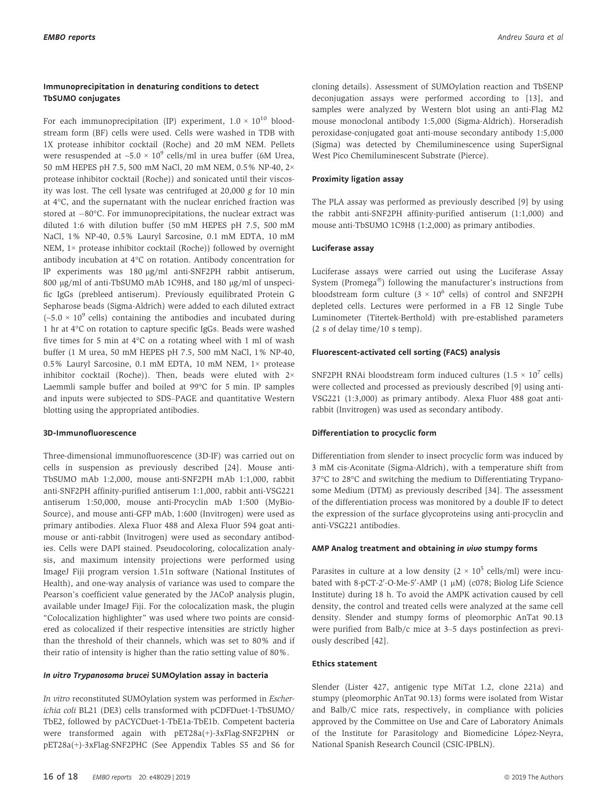#### Immunoprecipitation in denaturing conditions to detect TbSUMO conjugates

For each immunoprecipitation (IP) experiment,  $1.0 \times 10^{10}$  bloodstream form (BF) cells were used. Cells were washed in TDB with 1X protease inhibitor cocktail (Roche) and 20 mM NEM. Pellets were resuspended at  $\sim$ 5.0  $\times$  10<sup>9</sup> cells/ml in urea buffer (6M Urea, 50 mM HEPES pH 7.5, 500 mM NaCl, 20 mM NEM, 0.5% NP-40, 2× protease inhibitor cocktail (Roche)) and sonicated until their viscosity was lost. The cell lysate was centrifuged at 20,000 g for 10 min at 4°C, and the supernatant with the nuclear enriched fraction was stored at  $-80^{\circ}$ C. For immunoprecipitations, the nuclear extract was diluted 1:6 with dilution buffer (50 mM HEPES pH 7.5, 500 mM NaCl, 1% NP-40, 0.5% Lauryl Sarcosine, 0.1 mM EDTA, 10 mM NEM, 1× protease inhibitor cocktail (Roche)) followed by overnight antibody incubation at 4°C on rotation. Antibody concentration for IP experiments was 180 µg/ml anti-SNF2PH rabbit antiserum, 800 µg/ml of anti-TbSUMO mAb 1C9H8, and 180 µg/ml of unspecific IgGs (prebleed antiserum). Previously equilibrated Protein G Sepharose beads (Sigma-Aldrich) were added to each diluted extract  $({\sim}5.0 \times 10^{9}$  cells) containing the antibodies and incubated during 1 hr at 4°C on rotation to capture specific IgGs. Beads were washed five times for 5 min at 4°C on a rotating wheel with 1 ml of wash buffer (1 M urea, 50 mM HEPES pH 7.5, 500 mM NaCl, 1% NP-40, 0.5% Lauryl Sarcosine, 0.1 mM EDTA, 10 mM NEM, 1× protease inhibitor cocktail (Roche)). Then, beads were eluted with 2× Laemmli sample buffer and boiled at 99°C for 5 min. IP samples and inputs were subjected to SDS–PAGE and quantitative Western blotting using the appropriated antibodies.

#### 3D-Immunofluorescence

Three-dimensional immunofluorescence (3D-IF) was carried out on cells in suspension as previously described [24]. Mouse anti-TbSUMO mAb 1:2,000, mouse anti-SNF2PH mAb 1:1,000, rabbit anti-SNF2PH affinity-purified antiserum 1:1,000, rabbit anti-VSG221 antiserum 1:50,000, mouse anti-Procyclin mAb 1:500 (MyBio-Source), and mouse anti-GFP mAb, 1:600 (Invitrogen) were used as primary antibodies. Alexa Fluor 488 and Alexa Fluor 594 goat antimouse or anti-rabbit (Invitrogen) were used as secondary antibodies. Cells were DAPI stained. Pseudocoloring, colocalization analysis, and maximum intensity projections were performed using ImageJ Fiji program version 1.51n software (National Institutes of Health), and one-way analysis of variance was used to compare the Pearson's coefficient value generated by the JACoP analysis plugin, available under ImageJ Fiji. For the colocalization mask, the plugin "Colocalization highlighter" was used where two points are considered as colocalized if their respective intensities are strictly higher than the threshold of their channels, which was set to 80% and if their ratio of intensity is higher than the ratio setting value of 80%.

#### In vitro Trypanosoma brucei SUMOylation assay in bacteria

In vitro reconstituted SUMOylation system was performed in Escherichia coli BL21 (DE3) cells transformed with pCDFDuet-1-TbSUMO/ TbE2, followed by pACYCDuet-1-TbE1a-TbE1b. Competent bacteria were transformed again with pET28a(+)-3xFlag-SNF2PHN or pET28a(+)-3xFlag-SNF2PHC (See Appendix Tables S5 and S6 for cloning details). Assessment of SUMOylation reaction and TbSENP deconjugation assays were performed according to [13], and samples were analyzed by Western blot using an anti-Flag M2 mouse monoclonal antibody 1:5,000 (Sigma-Aldrich). Horseradish peroxidase-conjugated goat anti-mouse secondary antibody 1:5,000 (Sigma) was detected by Chemiluminescence using SuperSignal West Pico Chemiluminescent Substrate (Pierce).

#### Proximity ligation assay

The PLA assay was performed as previously described [9] by using the rabbit anti-SNF2PH affinity-purified antiserum (1:1,000) and mouse anti-TbSUMO 1C9H8 (1:2,000) as primary antibodies.

#### Luciferase assay

Luciferase assays were carried out using the Luciferase Assay System (Promega®) following the manufacturer's instructions from bloodstream form culture  $(3 \times 10^6 \text{ cells})$  of control and SNF2PH depleted cells. Lectures were performed in a FB 12 Single Tube Luminometer (Titertek-Berthold) with pre-established parameters (2 s of delay time/10 s temp).

#### Fluorescent-activated cell sorting (FACS) analysis

SNF2PH RNAi bloodstream form induced cultures  $(1.5 \times 10^7 \text{ cells})$ were collected and processed as previously described [9] using anti-VSG221 (1:3,000) as primary antibody. Alexa Fluor 488 goat antirabbit (Invitrogen) was used as secondary antibody.

#### Differentiation to procyclic form

Differentiation from slender to insect procyclic form was induced by 3 mM cis-Aconitate (Sigma-Aldrich), with a temperature shift from 37°C to 28°C and switching the medium to Differentiating Trypanosome Medium (DTM) as previously described [34]. The assessment of the differentiation process was monitored by a double IF to detect the expression of the surface glycoproteins using anti-procyclin and anti-VSG221 antibodies.

#### AMP Analog treatment and obtaining in vivo stumpy forms

Parasites in culture at a low density  $(2 \times 10^5 \text{ cells/ml})$  were incubated with 8-pCT-2'-O-Me-5'-AMP  $(1 \mu M)$  (c078; Biolog Life Science Institute) during 18 h. To avoid the AMPK activation caused by cell density, the control and treated cells were analyzed at the same cell density. Slender and stumpy forms of pleomorphic AnTat 90.13 were purified from Balb/c mice at 3–5 days postinfection as previously described [42].

#### Ethics statement

Slender (Lister 427, antigenic type MiTat 1.2, clone 221a) and stumpy (pleomorphic AnTat 90.13) forms were isolated from Wistar and Balb/C mice rats, respectively, in compliance with policies approved by the Committee on Use and Care of Laboratory Animals of the Institute for Parasitology and Biomedicine López-Neyra, National Spanish Research Council (CSIC-IPBLN).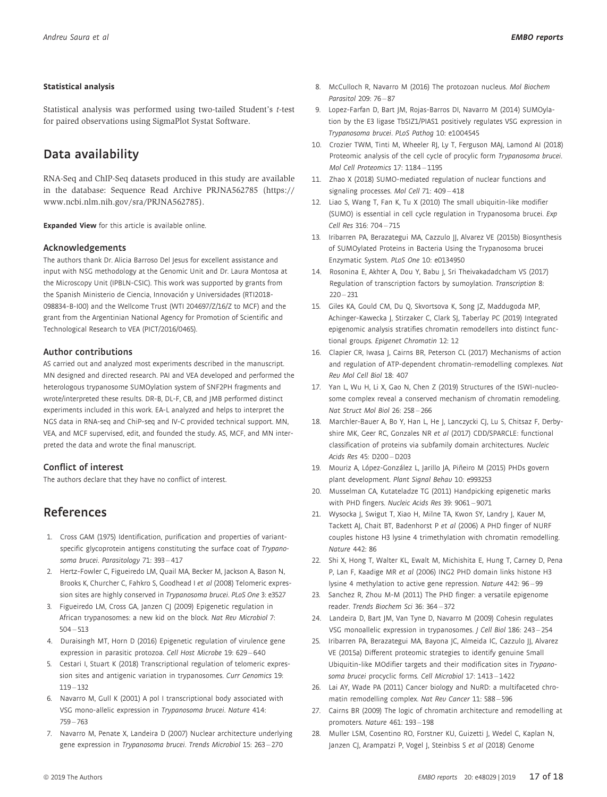#### Statistical analysis

Statistical analysis was performed using two-tailed Student's t-test for paired observations using SigmaPlot Systat Software.

# Data availability

RNA-Seq and ChIP-Seq datasets produced in this study are available in the database: Sequence Read Archive PRJNA562785 [\(https://](https://www.ncbi.nlm.nih.gov/sra/PRJNA562785) [www.ncbi.nlm.nih.gov/sra/PRJNA562785](https://www.ncbi.nlm.nih.gov/sra/PRJNA562785)).

Expanded View for this article is available [online.](https://doi.org/10.15252/embr.201948029)

#### Acknowledgements

The authors thank Dr. Alicia Barroso Del Jesus for excellent assistance and input with NSG methodology at the Genomic Unit and Dr. Laura Montosa at the Microscopy Unit (IPBLN-CSIC). This work was supported by grants from the Spanish Ministerio de Ciencia, Innovación y Universidades (RTI2018- 098834-B-I00) and the Wellcome Trust (WTI 204697/Z/16/Z to MCF) and the grant from the Argentinian National Agency for Promotion of Scientific and Technological Research to VEA (PICT/2016/0465).

#### Author contributions

AS carried out and analyzed most experiments described in the manuscript. MN designed and directed research. PAI and VEA developed and performed the heterologous trypanosome SUMOylation system of SNF2PH fragments and wrote/interpreted these results. DR-B, DL-F, CB, and JMB performed distinct experiments included in this work. EA-L analyzed and helps to interpret the NGS data in RNA-seq and ChiP-seq and IV-C provided technical support. MN, VEA, and MCF supervised, edit, and founded the study. AS, MCF, and MN interpreted the data and wrote the final manuscript.

#### Conflict of interest

The authors declare that they have no conflict of interest.

# References

- 1. Cross GAM (1975) Identification, purification and properties of variantspecific glycoprotein antigens constituting the surface coat of Trypanosoma brucei. Parasitology 71: 393 – 417
- 2. Hertz-Fowler C, Figueiredo LM, Quail MA, Becker M, Jackson A, Bason N, Brooks K, Churcher C, Fahkro S, Goodhead I et al (2008) Telomeric expression sites are highly conserved in Trypanosoma brucei. PLoS One 3: e3527
- 3. Figueiredo LM, Cross GA, Janzen CJ (2009) Epigenetic regulation in African trypanosomes: a new kid on the block. Nat Rev Microbiol 7:  $504 - 513$
- 4. Duraisingh MT, Horn D (2016) Epigenetic regulation of virulence gene expression in parasitic protozoa. Cell Host Microbe 19: 629 – 640
- 5. Cestari I, Stuart K (2018) Transcriptional regulation of telomeric expression sites and antigenic variation in trypanosomes. Curr Genomics 19: 119 – 132
- 6. Navarro M, Gull K (2001) A pol I transcriptional body associated with VSG mono-allelic expression in Trypanosoma brucei. Nature 414: 759 – 763
- 7. Navarro M, Penate X, Landeira D (2007) Nuclear architecture underlying gene expression in Trypanosoma brucei. Trends Microbiol 15: 263 – 270
- 8. McCulloch R, Navarro M (2016) The protozoan nucleus. Mol Biochem Parasitol 209: 76 – 87
- 9. Lopez-Farfan D, Bart JM, Rojas-Barros DI, Navarro M (2014) SUMOylation by the E3 ligase TbSIZ1/PIAS1 positively regulates VSG expression in Trypanosoma brucei. PLoS Pathog 10: e1004545
- 10. Crozier TWM, Tinti M, Wheeler RJ, Ly T, Ferguson MAJ, Lamond AI (2018) Proteomic analysis of the cell cycle of procylic form Trypanosoma brucei. Mol Cell Proteomics 17: 1184 – 1195
- 11. Zhao X (2018) SUMO-mediated regulation of nuclear functions and signaling processes. Mol Cell 71: 409 – 418
- 12. Liao S, Wang T, Fan K, Tu X (2010) The small ubiquitin-like modifier (SUMO) is essential in cell cycle regulation in Trypanosoma brucei. Exp Cell Res 316: 704 – 715
- 13. Iribarren PA, Berazategui MA, Cazzulo JJ, Alvarez VE (2015b) Biosynthesis of SUMOylated Proteins in Bacteria Using the Trypanosoma brucei Enzymatic System. PLoS One 10: e0134950
- 14. Rosonina E, Akhter A, Dou Y, Babu J, Sri Theivakadadcham VS (2017) Regulation of transcription factors by sumoylation. Transcription 8:  $220 - 231$
- 15. Giles KA, Gould CM, Du Q, Skvortsova K, Song JZ, Maddugoda MP, Achinger-Kawecka J, Stirzaker C, Clark SJ, Taberlay PC (2019) Integrated epigenomic analysis stratifies chromatin remodellers into distinct functional groups. Epigenet Chromatin 12: 12
- 16. Clapier CR, Iwasa J, Cairns BR, Peterson CL (2017) Mechanisms of action and regulation of ATP-dependent chromatin-remodelling complexes. Nat Rev Mol Cell Biol 18: 407
- 17. Yan L, Wu H, Li X, Gao N, Chen Z (2019) Structures of the ISWI-nucleosome complex reveal a conserved mechanism of chromatin remodeling. Nat Struct Mol Biol 26: 258 – 266
- 18. Marchler-Bauer A, Bo Y, Han L, He J, Lanczycki CJ, Lu S, Chitsaz F, Derbyshire MK, Geer RC, Gonzales NR et al (2017) CDD/SPARCLE: functional classification of proteins via subfamily domain architectures. Nucleic Acids Res 45: D200 – D203
- 19. Mouriz A, López-González L, Jarillo JA, Piñeiro M (2015) PHDs govern plant development. Plant Signal Behav 10: e993253
- 20. Musselman CA, Kutateladze TG (2011) Handpicking epigenetic marks with PHD fingers. Nucleic Acids Res 39: 9061 – 9071
- 21. Wysocka J, Swigut T, Xiao H, Milne TA, Kwon SY, Landry J, Kauer M, Tackett AJ, Chait BT, Badenhorst P et al (2006) A PHD finger of NURF couples histone H3 lysine 4 trimethylation with chromatin remodelling. Nature 442: 86
- 22. Shi X, Hong T, Walter KL, Ewalt M, Michishita E, Hung T, Carney D, Pena P, Lan F, Kaadige MR et al (2006) ING2 PHD domain links histone H3 lysine 4 methylation to active gene repression. Nature 442: 96 – 99
- 23. Sanchez R, Zhou M-M (2011) The PHD finger: a versatile epigenome reader. Trends Biochem Sci 36: 364 – 372
- 24. Landeira D, Bart JM, Van Tyne D, Navarro M (2009) Cohesin regulates VSG monoallelic expression in trypanosomes. J Cell Biol 186: 243 – 254
- 25. Iribarren PA, Berazategui MA, Bayona JC, Almeida IC, Cazzulo JJ, Alvarez VE (2015a) Different proteomic strategies to identify genuine Small Ubiquitin-like MOdifier targets and their modification sites in Trypanosoma brucei procyclic forms. Cell Microbiol 17: 1413 – 1422
- 26. Lai AY, Wade PA (2011) Cancer biology and NuRD: a multifaceted chromatin remodelling complex. Nat Rev Cancer 11: 588 – 596
- 27. Cairns BR (2009) The logic of chromatin architecture and remodelling at promoters. Nature 461: 193 – 198
- 28. Muller LSM, Cosentino RO, Forstner KU, Guizetti J, Wedel C, Kaplan N, Janzen CJ, Arampatzi P, Vogel J, Steinbiss S et al (2018) Genome